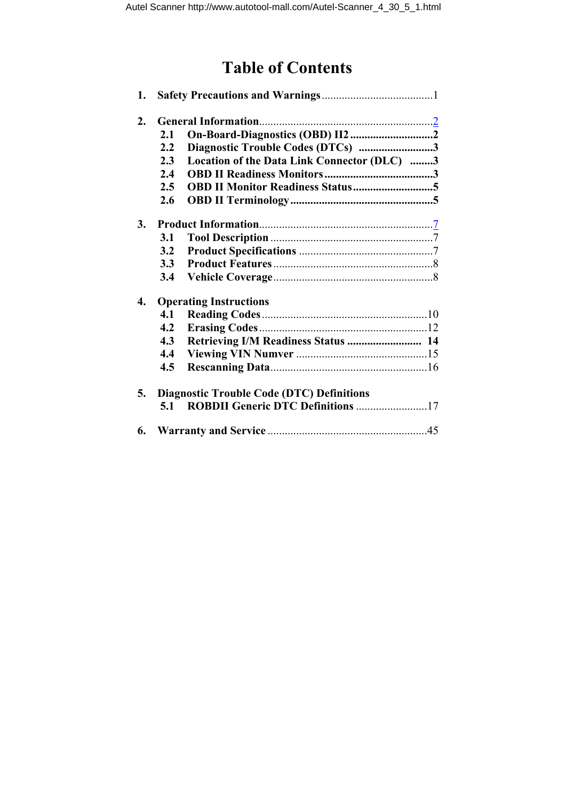# **Table of Contents**

| 1. |               |                                                  |
|----|---------------|--------------------------------------------------|
| 2. |               |                                                  |
|    | 2.1           |                                                  |
|    | $2.2^{\circ}$ | Diagnostic Trouble Codes (DTCs) 3                |
|    | 2.3           | Location of the Data Link Connector (DLC) 3      |
|    | 2.4           |                                                  |
|    | 2.5           |                                                  |
|    | 2.6           |                                                  |
| 3. |               |                                                  |
|    | 3.1           |                                                  |
|    | 3.2           |                                                  |
|    | 3.3           |                                                  |
|    | 3.4           |                                                  |
| 4. |               | <b>Operating Instructions</b>                    |
|    | 4.1           |                                                  |
|    | 4.2           |                                                  |
|    | 4.3           | Retrieving I/M Readiness Status  14              |
|    | 4.4           |                                                  |
|    | 4.5           |                                                  |
| 5. |               | <b>Diagnostic Trouble Code (DTC) Definitions</b> |
|    | 5.1           | <b>ROBDII Generic DTC Definitions 17</b>         |
|    |               |                                                  |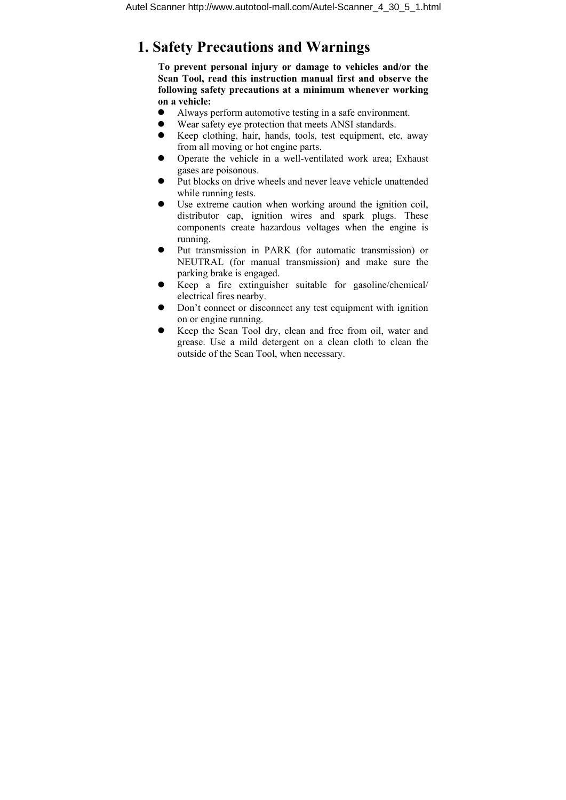# **1. Safety Precautions and Warnings**

**To prevent personal injury or damage to vehicles and/or the Scan Tool, read this instruction manual first and observe the following safety precautions at a minimum whenever working on a vehicle:** 

- z Always perform automotive testing in a safe environment.
- Wear safety eye protection that meets ANSI standards.
- $\bullet$  Keep clothing, hair, hands, tools, test equipment, etc, away from all moving or hot engine parts.
- Operate the vehicle in a well-ventilated work area; Exhaust gases are poisonous.
- Put blocks on drive wheels and never leave vehicle unattended while running tests.
- $\bullet$  Use extreme caution when working around the ignition coil, distributor cap, ignition wires and spark plugs. These components create hazardous voltages when the engine is running.
- Put transmission in PARK (for automatic transmission) or NEUTRAL (for manual transmission) and make sure the parking brake is engaged.
- $\bullet$  Keep a fire extinguisher suitable for gasoline/chemical/ electrical fires nearby.
- Don't connect or disconnect any test equipment with ignition on or engine running.
- Keep the Scan Tool dry, clean and free from oil, water and grease. Use a mild detergent on a clean cloth to clean the outside of the Scan Tool, when necessary.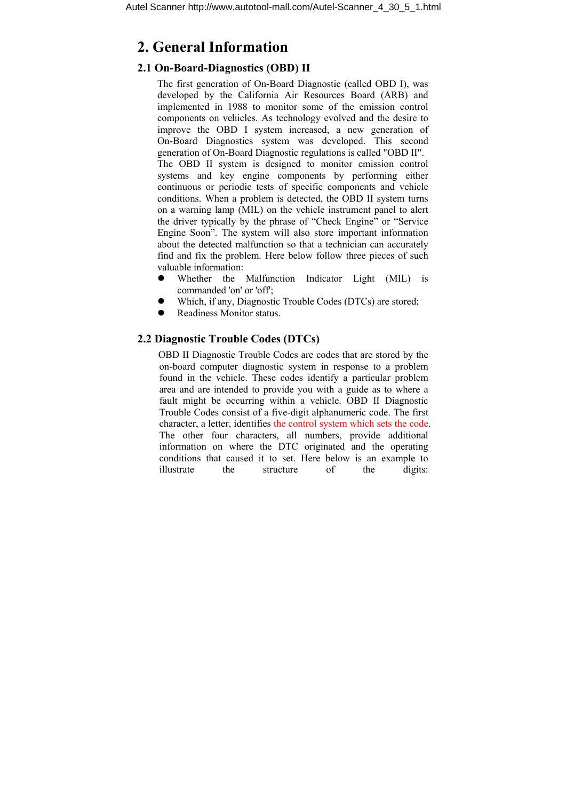# **2. General Information**

## **2.1 On-Board-Diagnostics (OBD) II**

The first generation of On-Board Diagnostic (called OBD I), was developed by the California Air Resources Board (ARB) and implemented in 1988 to monitor some of the emission control components on vehicles. As technology evolved and the desire to improve the OBD I system increased, a new generation of On-Board Diagnostics system was developed. This second generation of On-Board Diagnostic regulations is called "OBD II". The OBD II system is designed to monitor emission control systems and key engine components by performing either continuous or periodic tests of specific components and vehicle conditions. When a problem is detected, the OBD II system turns on a warning lamp (MIL) on the vehicle instrument panel to alert the driver typically by the phrase of "Check Engine" or "Service Engine Soon". The system will also store important information about the detected malfunction so that a technician can accurately find and fix the problem. Here below follow three pieces of such valuable information:

- Whether the Malfunction Indicator Light (MIL) is commanded 'on' or 'off';
- Which, if any, Diagnostic Trouble Codes (DTCs) are stored;
- Readiness Monitor status.

#### **2.2 Diagnostic Trouble Codes (DTCs)**

OBD II Diagnostic Trouble Codes are codes that are stored by the on-board computer diagnostic system in response to a problem found in the vehicle. These codes identify a particular problem area and are intended to provide you with a guide as to where a fault might be occurring within a vehicle. OBD II Diagnostic Trouble Codes consist of a five-digit alphanumeric code. The first character, a letter, identifies the control system which sets the code. The other four characters, all numbers, provide additional information on where the DTC originated and the operating conditions that caused it to set. Here below is an example to illustrate the structure of the digits: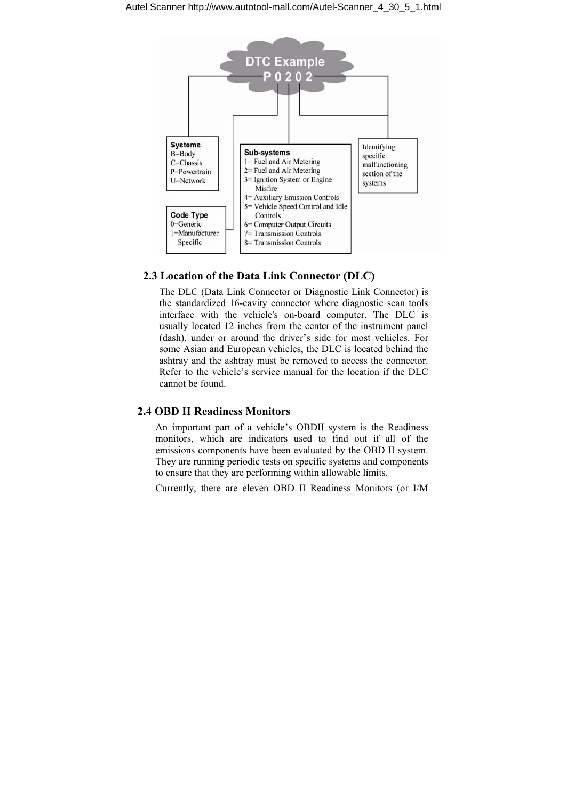

#### **2.3 Location of the Data Link Connector (DLC)**

The DLC (Data Link Connector or Diagnostic Link Connector) is the standardized 16-cavity connector where diagnostic scan tools interface with the vehicle's on-board computer. The DLC is usually located 12 inches from the center of the instrument panel (dash), under or around the driver's side for most vehicles. For some Asian and European vehicles, the DLC is located behind the ashtray and the ashtray must be removed to access the connector. Refer to the vehicle's service manual for the location if the DLC cannot be found.

#### **2.4 OBD II Readiness Monitors**

An important part of a vehicle's OBDII system is the Readiness monitors, which are indicators used to find out if all of the emissions components have been evaluated by the OBD II system. They are running periodic tests on specific systems and components to ensure that they are performing within allowable limits.

Currently, there are eleven OBD II Readiness Monitors (or I/M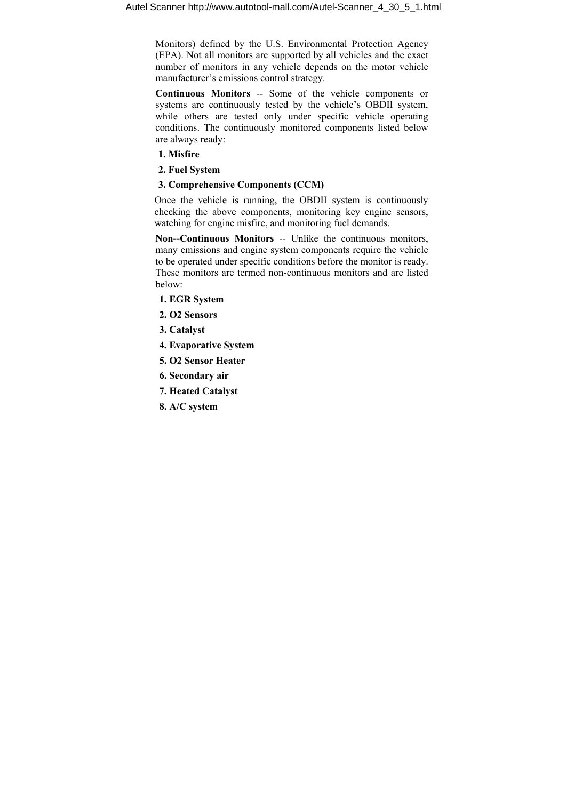Monitors) defined by the U.S. Environmental Protection Agency (EPA). Not all monitors are supported by all vehicles and the exact number of monitors in any vehicle depends on the motor vehicle manufacturer's emissions control strategy.

**Continuous Monitors** -- Some of the vehicle components or systems are continuously tested by the vehicle's OBDII system, while others are tested only under specific vehicle operating conditions. The continuously monitored components listed below are always ready:

- **1. Misfire**
- **2. Fuel System**

### **3. Comprehensive Components (CCM)**

Once the vehicle is running, the OBDII system is continuously checking the above components, monitoring key engine sensors, watching for engine misfire, and monitoring fuel demands.

**Non--Continuous Monitors** -- Unlike the continuous monitors, many emissions and engine system components require the vehicle to be operated under specific conditions before the monitor is ready. These monitors are termed non-continuous monitors and are listed below:

- **1. EGR System**
- **2. O2 Sensors**
- **3. Catalyst**
- **4. Evaporative System**
- **5. O2 Sensor Heater**
- **6. Secondary air**
- **7. Heated Catalyst**
- **8. A/C system**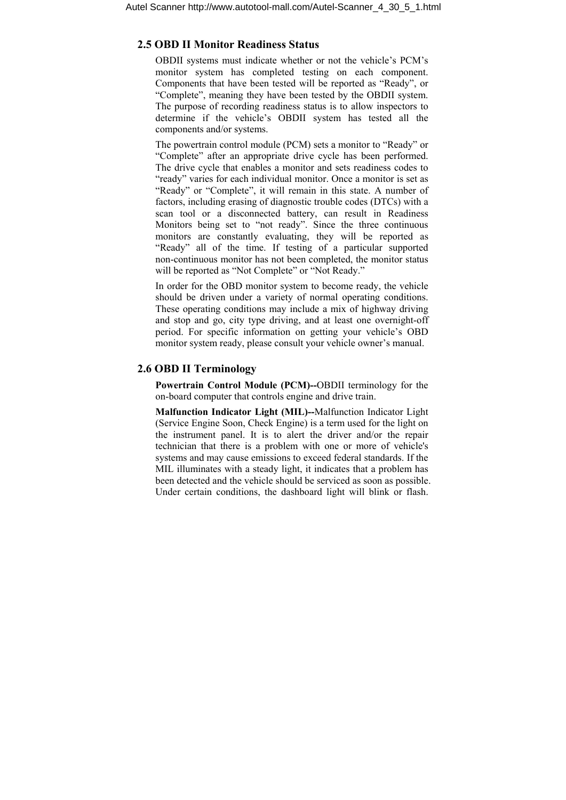#### **2.5 OBD II Monitor Readiness Status**

OBDII systems must indicate whether or not the vehicle's PCM's monitor system has completed testing on each component. Components that have been tested will be reported as "Ready", or "Complete", meaning they have been tested by the OBDII system. The purpose of recording readiness status is to allow inspectors to determine if the vehicle's OBDII system has tested all the components and/or systems.

The powertrain control module (PCM) sets a monitor to "Ready" or "Complete" after an appropriate drive cycle has been performed. The drive cycle that enables a monitor and sets readiness codes to "ready" varies for each individual monitor. Once a monitor is set as "Ready" or "Complete", it will remain in this state. A number of factors, including erasing of diagnostic trouble codes (DTCs) with a scan tool or a disconnected battery, can result in Readiness Monitors being set to "not ready". Since the three continuous monitors are constantly evaluating, they will be reported as "Ready" all of the time. If testing of a particular supported non-continuous monitor has not been completed, the monitor status will be reported as "Not Complete" or "Not Ready."

In order for the OBD monitor system to become ready, the vehicle should be driven under a variety of normal operating conditions. These operating conditions may include a mix of highway driving and stop and go, city type driving, and at least one overnight-off period. For specific information on getting your vehicle's OBD monitor system ready, please consult your vehicle owner's manual.

#### **2.6 OBD II Terminology**

**Powertrain Control Module (PCM)--**OBDII terminology for the on-board computer that controls engine and drive train.

**Malfunction Indicator Light (MIL)--**Malfunction Indicator Light (Service Engine Soon, Check Engine) is a term used for the light on the instrument panel. It is to alert the driver and/or the repair technician that there is a problem with one or more of vehicle's systems and may cause emissions to exceed federal standards. If the MIL illuminates with a steady light, it indicates that a problem has been detected and the vehicle should be serviced as soon as possible. Under certain conditions, the dashboard light will blink or flash.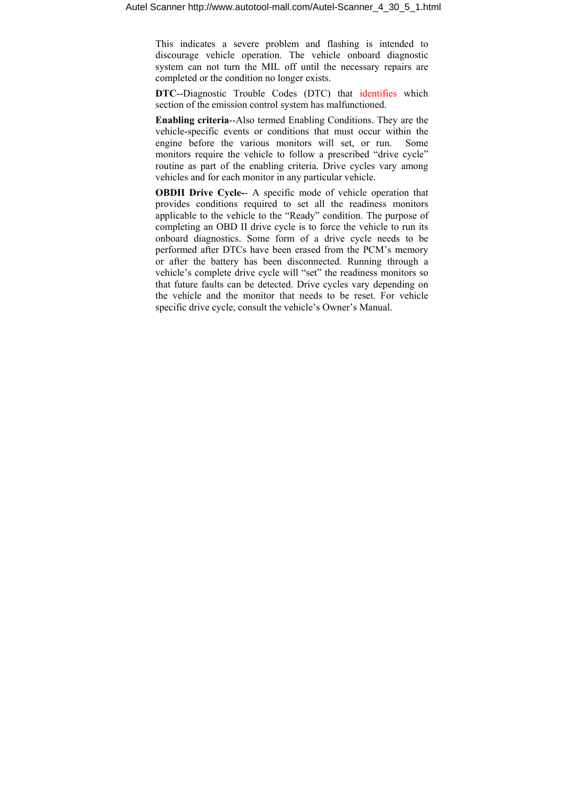This indicates a severe problem and flashing is intended to discourage vehicle operation. The vehicle onboard diagnostic system can not turn the MIL off until the necessary repairs are completed or the condition no longer exists.

**DTC**--Diagnostic Trouble Codes (DTC) that identifies which section of the emission control system has malfunctioned.

**Enabling criteria**--Also termed Enabling Conditions. They are the vehicle-specific events or conditions that must occur within the engine before the various monitors will set, or run. Some monitors require the vehicle to follow a prescribed "drive cycle" routine as part of the enabling criteria. Drive cycles vary among vehicles and for each monitor in any particular vehicle.

**OBDII Drive Cycle-**- A specific mode of vehicle operation that provides conditions required to set all the readiness monitors applicable to the vehicle to the "Ready" condition. The purpose of completing an OBD II drive cycle is to force the vehicle to run its onboard diagnostics. Some form of a drive cycle needs to be performed after DTCs have been erased from the PCM's memory or after the battery has been disconnected. Running through a vehicle's complete drive cycle will "set" the readiness monitors so that future faults can be detected. Drive cycles vary depending on the vehicle and the monitor that needs to be reset. For vehicle specific drive cycle, consult the vehicle's Owner's Manual.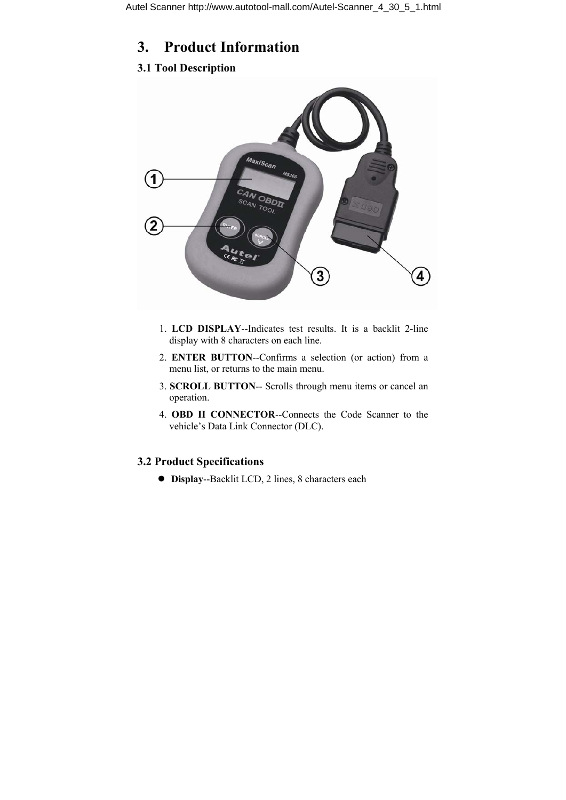# **3. Product Information**

## **3.1 Tool Description**



- 1. **LCD DISPLAY**--Indicates test results. It is a backlit 2-line display with 8 characters on each line.
- 2. **ENTER BUTTON**--Confirms a selection (or action) from a menu list, or returns to the main menu.
- 3. **SCROLL BUTTON**-- Scrolls through menu items or cancel an operation.
- 4. **OBD II CONNECTOR**--Connects the Code Scanner to the vehicle's Data Link Connector (DLC).

### **3.2 Product Specifications**

z **Display**--Backlit LCD, 2 lines, 8 characters each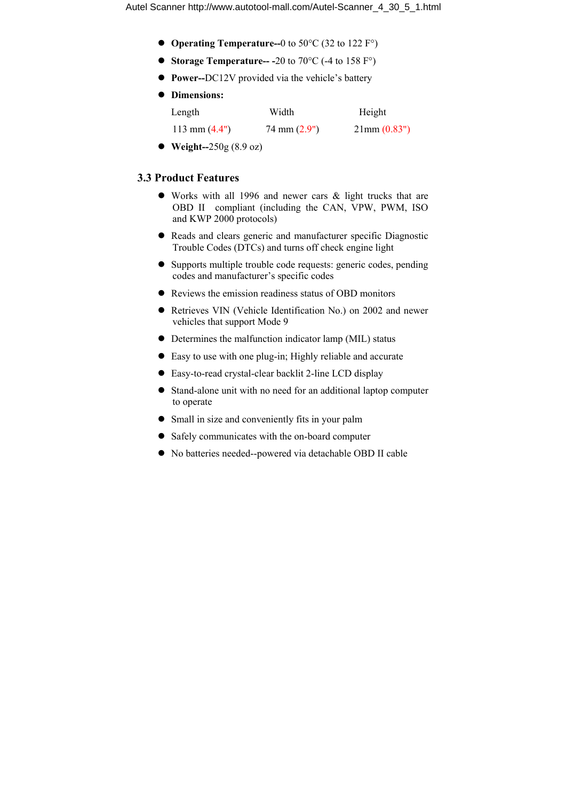- **Operating Temperature--**0 to 50°C (32 to 122 F°)
- **Storage Temperature-- -**20 to 70 $^{\circ}$ C (-4 to 158 F $^{\circ}$ )
- z **Power--**DC12V provided via the vehicle's battery

|  | <b>Dimensions:</b> |
|--|--------------------|
|  |                    |

| Length          | Width                  | Height                 |
|-----------------|------------------------|------------------------|
| 113 mm $(4.4")$ | $74 \text{ mm} (2.9")$ | $21 \text{mm} (0.83")$ |
|                 |                        |                        |

● **Weight--250g** (8.9 oz)

#### **3.3 Product Features**

- $\bullet$  Works with all 1996 and newer cars & light trucks that are OBD II compliant (including the CAN, VPW, PWM, ISO and KWP 2000 protocols)
- Reads and clears generic and manufacturer specific Diagnostic Trouble Codes (DTCs) and turns off check engine light
- Supports multiple trouble code requests: generic codes, pending codes and manufacturer's specific codes
- Reviews the emission readiness status of OBD monitors
- Retrieves VIN (Vehicle Identification No.) on 2002 and newer vehicles that support Mode 9
- $\bullet$  Determines the malfunction indicator lamp (MIL) status
- $\bullet$  Easy to use with one plug-in; Highly reliable and accurate
- Easy-to-read crystal-clear backlit 2-line LCD display
- Stand-alone unit with no need for an additional laptop computer to operate
- Small in size and conveniently fits in your palm
- Safely communicates with the on-board computer
- No batteries needed--powered via detachable OBD II cable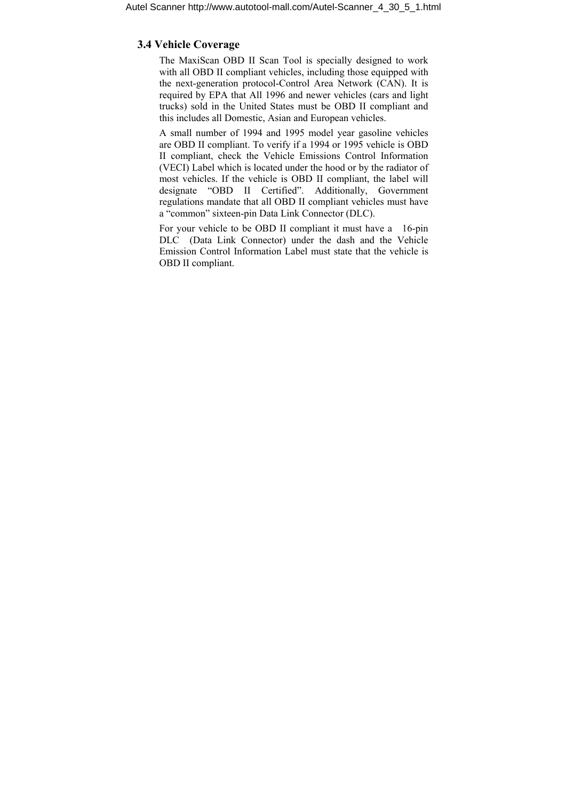#### **3.4 Vehicle Coverage**

The MaxiScan OBD II Scan Tool is specially designed to work with all OBD II compliant vehicles, including those equipped with the next-generation protocol-Control Area Network (CAN). It is required by EPA that All 1996 and newer vehicles (cars and light trucks) sold in the United States must be OBD II compliant and this includes all Domestic, Asian and European vehicles.

A small number of 1994 and 1995 model year gasoline vehicles are OBD II compliant. To verify if a 1994 or 1995 vehicle is OBD II compliant, check the Vehicle Emissions Control Information (VECI) Label which is located under the hood or by the radiator of most vehicles. If the vehicle is OBD II compliant, the label will designate "OBD II Certified". Additionally, Government regulations mandate that all OBD II compliant vehicles must have a "common" sixteen-pin Data Link Connector (DLC).

For your vehicle to be OBD II compliant it must have a 16-pin DLC (Data Link Connector) under the dash and the Vehicle Emission Control Information Label must state that the vehicle is OBD II compliant.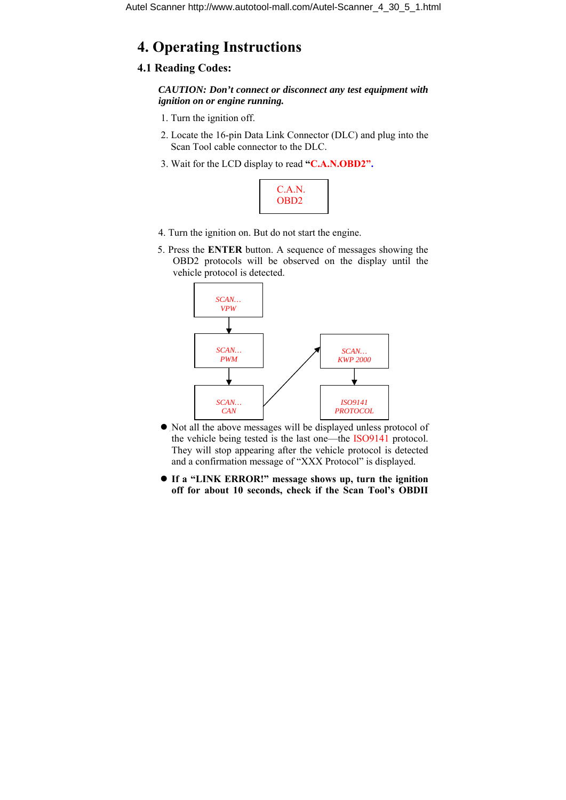# **4. Operating Instructions**

### **4.1 Reading Codes:**

*CAUTION: Don't connect or disconnect any test equipment with ignition on or engine running.* 

- 1. Turn the ignition off.
- 2. Locate the 16-pin Data Link Connector (DLC) and plug into the Scan Tool cable connector to the DLC.
- 3. Wait for the LCD display to read **"C.A.N.OBD2".**



- 4. Turn the ignition on. But do not start the engine.
- 5. Press the **ENTER** button. A sequence of messages showing the OBD2 protocols will be observed on the display until the vehicle protocol is detected.



- $\bullet$  Not all the above messages will be displayed unless protocol of the vehicle being tested is the last one—the ISO9141 protocol. They will stop appearing after the vehicle protocol is detected and a confirmation message of "XXX Protocol" is displayed.
- **•** If a "LINK ERROR!" message shows up, turn the ignition **off for about 10 seconds, check if the Scan Tool's OBDII**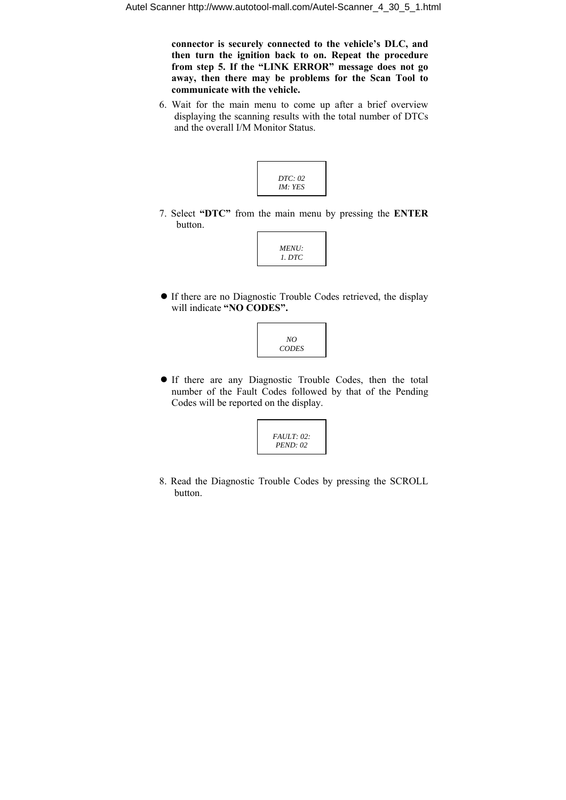**connector is securely connected to the vehicle's DLC, and then turn the ignition back to on. Repeat the procedure from step 5. If the "LINK ERROR" message does not go away, then there may be problems for the Scan Tool to communicate with the vehicle.**

6. Wait for the main menu to come up after a brief overview displaying the scanning results with the total number of DTCs and the overall I/M Monitor Status.



7. Select **"DTC"** from the main menu by pressing the **ENTER**  button.



• If there are no Diagnostic Trouble Codes retrieved, the display will indicate **"NO CODES".**



**•** If there are any Diagnostic Trouble Codes, then the total number of the Fault Codes followed by that of the Pending Codes will be reported on the display.



8. Read the Diagnostic Trouble Codes by pressing the SCROLL button.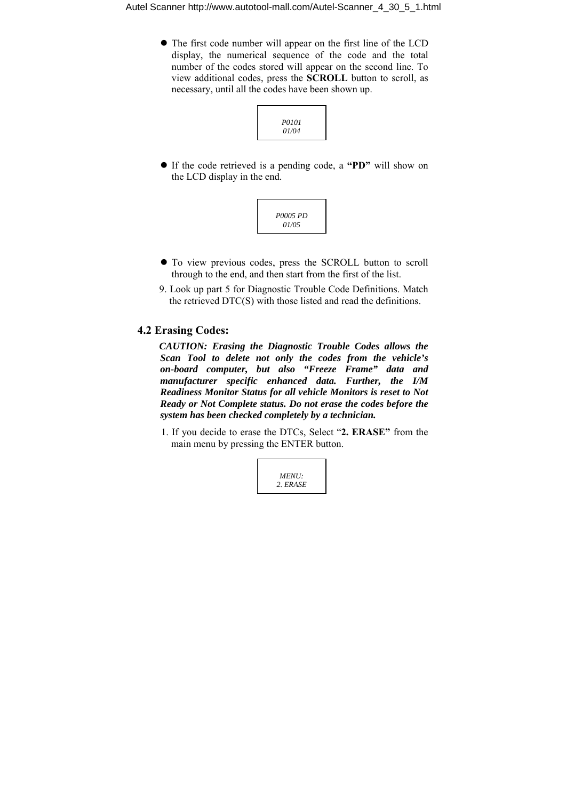• The first code number will appear on the first line of the LCD display, the numerical sequence of the code and the total number of the codes stored will appear on the second line. To view additional codes, press the **SCROLL** button to scroll, as necessary, until all the codes have been shown up.



z If the code retrieved is a pending code, a **"PD"** will show on the LCD display in the end.



- $\bullet$  To view previous codes, press the SCROLL button to scroll through to the end, and then start from the first of the list.
- 9. Look up part 5 for Diagnostic Trouble Code Definitions. Match the retrieved DTC(S) with those listed and read the definitions.

#### **4.2 Erasing Codes:**

*CAUTION: Erasing the Diagnostic Trouble Codes allows the Scan Tool to delete not only the codes from the vehicle's on-board computer, but also "Freeze Frame" data and manufacturer specific enhanced data. Further, the I/M Readiness Monitor Status for all vehicle Monitors is reset to Not Ready or Not Complete status. Do not erase the codes before the system has been checked completely by a technician.* 

1. If you decide to erase the DTCs, Select "**2. ERASE"** from the main menu by pressing the ENTER button.

*MENU: 2. ERASE*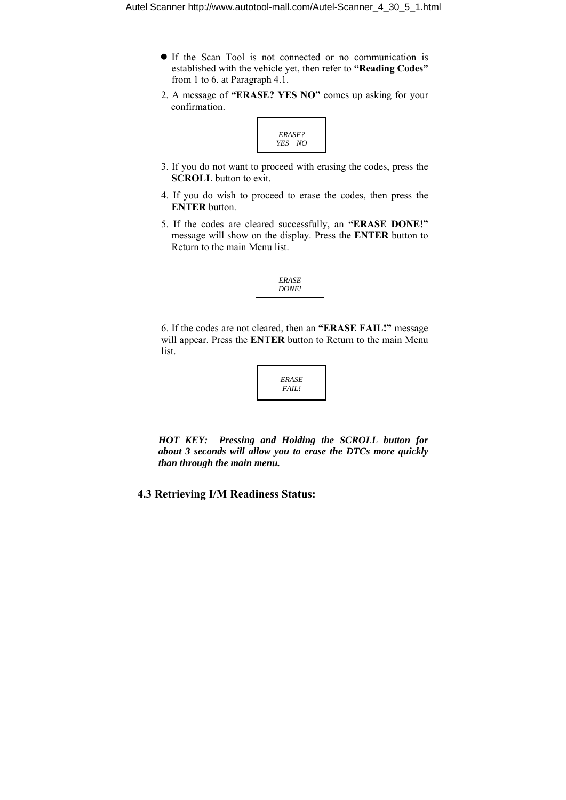- z If the Scan Tool is not connected or no communication is established with the vehicle yet, then refer to **"Reading Codes"**  from 1 to 6. at Paragraph 4.1.
- 2. A message of **"ERASE? YES NO"** comes up asking for your confirmation.



- 3. If you do not want to proceed with erasing the codes, press the **SCROLL** button to exit.
- 4. If you do wish to proceed to erase the codes, then press the **ENTER** button.
- 5. If the codes are cleared successfully, an **"ERASE DONE!"** message will show on the display. Press the **ENTER** button to Return to the main Menu list.



6. If the codes are not cleared, then an **"ERASE FAIL!"** message will appear. Press the **ENTER** button to Return to the main Menu list.



*HOT KEY: Pressing and Holding the SCROLL button for about 3 seconds will allow you to erase the DTCs more quickly than through the main menu.* 

**4.3 Retrieving I/M Readiness Status:**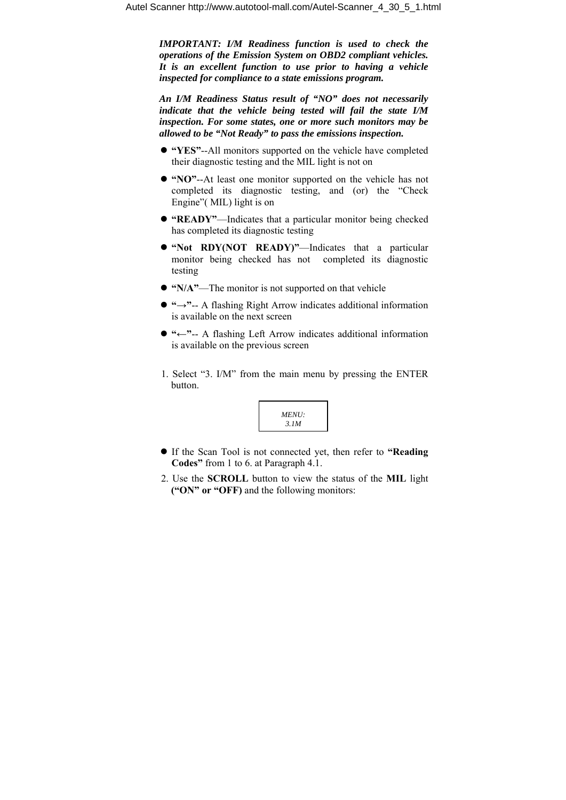*IMPORTANT: I/M Readiness function is used to check the operations of the Emission System on OBD2 compliant vehicles. It is an excellent function to use prior to having a vehicle inspected for compliance to a state emissions program.* 

*An I/M Readiness Status result of "NO" does not necessarily indicate that the vehicle being tested will fail the state I/M inspection. For some states, one or more such monitors may be allowed to be "Not Ready" to pass the emissions inspection.* 

- z **"YES"**--All monitors supported on the vehicle have completed their diagnostic testing and the MIL light is not on
- z **"NO"**--At least one monitor supported on the vehicle has not completed its diagnostic testing, and (or) the "Check Engine"( MIL) light is on
- z **"READY"**—Indicates that a particular monitor being checked has completed its diagnostic testing
- "Not RDY(NOT READY)"—Indicates that a particular monitor being checked has not completed its diagnostic testing
- "N/A"—The monitor is not supported on that vehicle
- **"→"--** A flashing Right Arrow indicates additional information is available on the next screen
- z **"←"**-- A flashing Left Arrow indicates additional information is available on the previous screen
- 1. Select "3. I/M" from the main menu by pressing the ENTER button.



- z If the Scan Tool is not connected yet, then refer to **"Reading Codes"** from 1 to 6. at Paragraph 4.1.
- 2. Use the **SCROLL** button to view the status of the **MIL** light **("ON" or "OFF)** and the following monitors: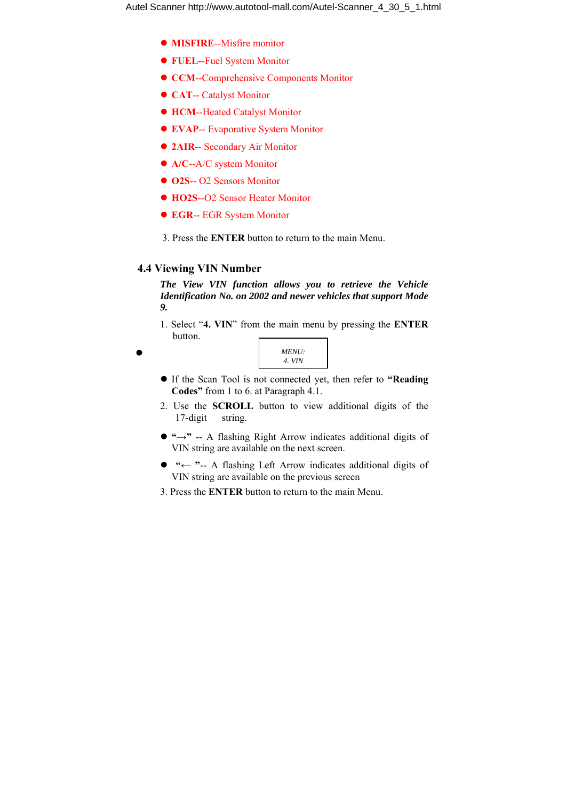- **MISFIRE--Misfire monitor**
- z **FUEL-**-Fuel System Monitor
- **CCM**--Comprehensive Components Monitor
- **CAT-- Catalyst Monitor**
- **HCM--Heated Catalyst Monitor**
- **EVAP**-- Evaporative System Monitor
- **2AIR-- Secondary Air Monitor**
- A/C--A/C system Monitor
- $\bullet$  **O2S**-- O2 Sensors Monitor
- **HO2S--O2 Sensor Heater Monitor**
- **EGR-- EGR System Monitor**
- 3. Press the **ENTER** button to return to the main Menu.

### **4.4 Viewing VIN Number**

*The View VIN function allows you to retrieve the Vehicle Identification No. on 2002 and newer vehicles that support Mode 9.* 

1. Select "**4. VIN**" from the main menu by pressing the **ENTER**  button.

| <i>MENU:</i> |  |
|--------------|--|
| 4. VIN       |  |
|              |  |

- z If the Scan Tool is not connected yet, then refer to **"Reading Codes"** from 1 to 6. at Paragraph 4.1.
- 2. Use the **SCROLL** button to view additional digits of the 17-digit string.
- $\bullet$  "→" -- A flashing Right Arrow indicates additional digits of VIN string are available on the next screen.
- z **"← "**-- A flashing Left Arrow indicates additional digits of VIN string are available on the previous screen
- 3. Press the **ENTER** button to return to the main Menu.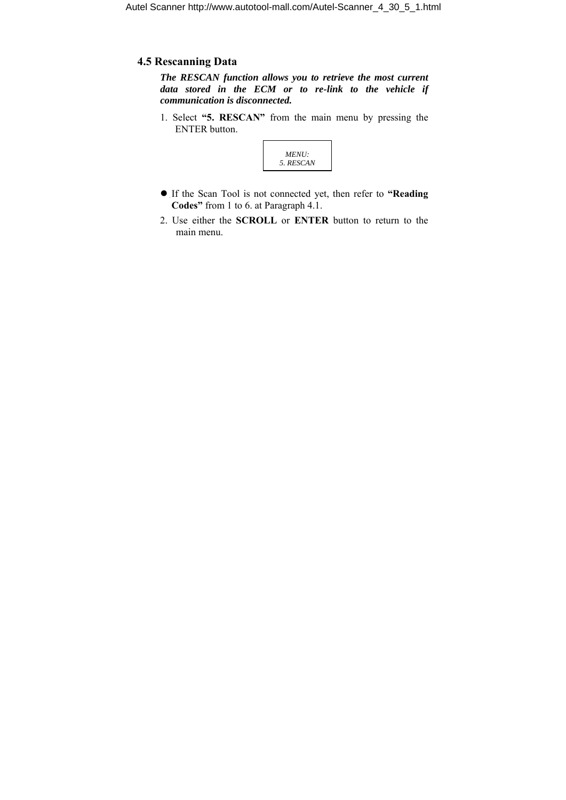### **4.5 Rescanning Data**

*The RESCAN function allows you to retrieve the most current data stored in the ECM or to re-link to the vehicle if communication is disconnected.* 

1. Select **"5. RESCAN"** from the main menu by pressing the ENTER button.



- z If the Scan Tool is not connected yet, then refer to **"Reading Codes"** from 1 to 6. at Paragraph 4.1.
- 2. Use either the **SCROLL** or **ENTER** button to return to the main menu.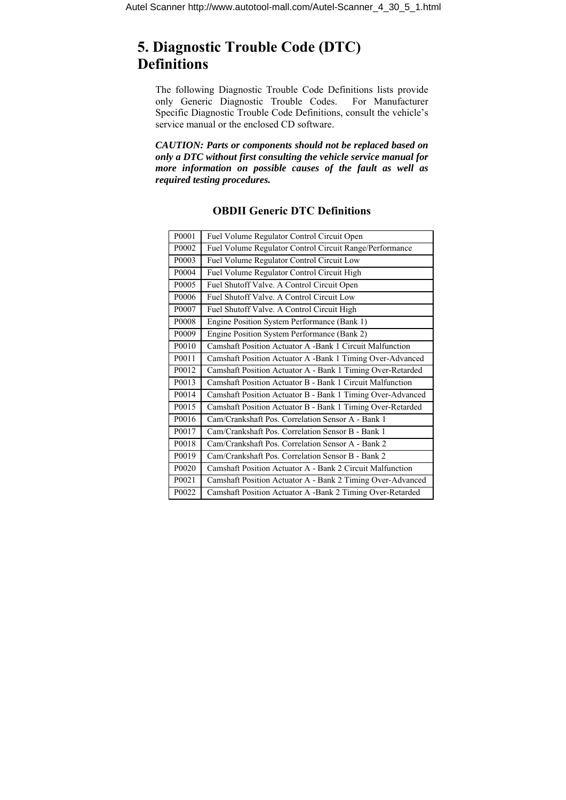# **5. Diagnostic Trouble Code (DTC) Definitions**

The following Diagnostic Trouble Code Definitions lists provide only Generic Diagnostic Trouble Codes. For Manufacturer Specific Diagnostic Trouble Code Definitions, consult the vehicle's service manual or the enclosed CD software.

*CAUTION: Parts or components should not be replaced based on only a DTC without first consulting the vehicle service manual for more information on possible causes of the fault as well as required testing procedures.* 

| P0001 | Fuel Volume Regulator Control Circuit Open                 |
|-------|------------------------------------------------------------|
| P0002 | Fuel Volume Regulator Control Circuit Range/Performance    |
| P0003 | Fuel Volume Regulator Control Circuit Low                  |
| P0004 | Fuel Volume Regulator Control Circuit High                 |
| P0005 | Fuel Shutoff Valve. A Control Circuit Open                 |
| P0006 | Fuel Shutoff Valve. A Control Circuit Low                  |
| P0007 | Fuel Shutoff Valve. A Control Circuit High                 |
| P0008 | Engine Position System Performance (Bank 1)                |
| P0009 | Engine Position System Performance (Bank 2)                |
| P0010 | Camshaft Position Actuator A -Bank 1 Circuit Malfunction   |
| P0011 | Camshaft Position Actuator A -Bank 1 Timing Over-Advanced  |
| P0012 | Camshaft Position Actuator A - Bank 1 Timing Over-Retarded |
| P0013 | Camshaft Position Actuator B - Bank 1 Circuit Malfunction  |
| P0014 | Camshaft Position Actuator B - Bank 1 Timing Over-Advanced |
| P0015 | Camshaft Position Actuator B - Bank 1 Timing Over-Retarded |
| P0016 | Cam/Crankshaft Pos. Correlation Sensor A - Bank 1          |
| P0017 | Cam/Crankshaft Pos. Correlation Sensor B - Bank 1          |
| P0018 | Cam/Crankshaft Pos. Correlation Sensor A - Bank 2          |
| P0019 | Cam/Crankshaft Pos. Correlation Sensor B - Bank 2          |
| P0020 | Camshaft Position Actuator A - Bank 2 Circuit Malfunction  |
| P0021 | Camshaft Position Actuator A - Bank 2 Timing Over-Advanced |
| P0022 | Camshaft Position Actuator A -Bank 2 Timing Over-Retarded  |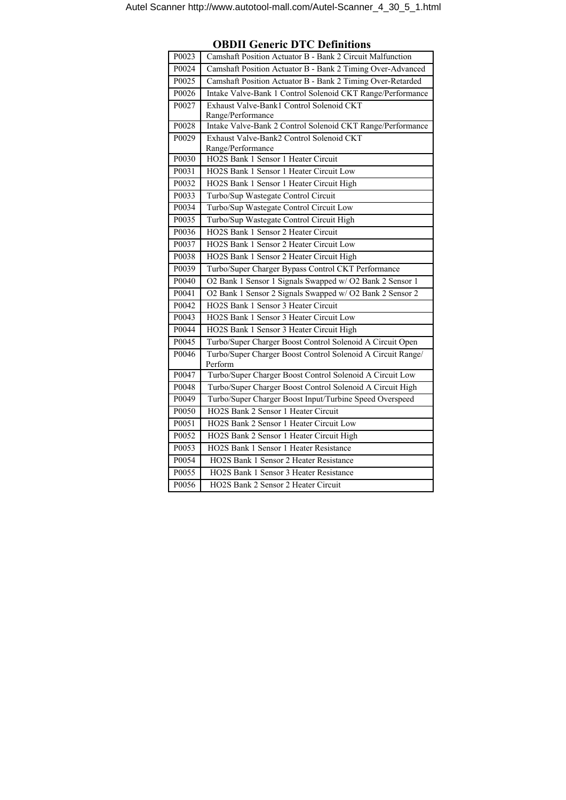| P0023 | Camshaft Position Actuator B - Bank 2 Circuit Malfunction              |
|-------|------------------------------------------------------------------------|
| P0024 | Camshaft Position Actuator B - Bank 2 Timing Over-Advanced             |
| P0025 | Camshaft Position Actuator B - Bank 2 Timing Over-Retarded             |
| P0026 | Intake Valve-Bank 1 Control Solenoid CKT Range/Performance             |
| P0027 | Exhaust Valve-Bank1 Control Solenoid CKT                               |
|       | Range/Performance                                                      |
| P0028 | Intake Valve-Bank 2 Control Solenoid CKT Range/Performance             |
| P0029 | Exhaust Valve-Bank2 Control Solenoid CKT                               |
|       | Range/Performance                                                      |
| P0030 | HO2S Bank 1 Sensor 1 Heater Circuit                                    |
| P0031 | HO2S Bank 1 Sensor 1 Heater Circuit Low                                |
| P0032 | HO2S Bank 1 Sensor 1 Heater Circuit High                               |
| P0033 | Turbo/Sup Wastegate Control Circuit                                    |
| P0034 | Turbo/Sup Wastegate Control Circuit Low                                |
| P0035 | Turbo/Sup Wastegate Control Circuit High                               |
| P0036 | HO2S Bank 1 Sensor 2 Heater Circuit                                    |
| P0037 | HO2S Bank 1 Sensor 2 Heater Circuit Low                                |
| P0038 | HO2S Bank 1 Sensor 2 Heater Circuit High                               |
| P0039 | Turbo/Super Charger Bypass Control CKT Performance                     |
| P0040 | O2 Bank 1 Sensor 1 Signals Swapped w/ O2 Bank 2 Sensor 1               |
| P0041 | O2 Bank 1 Sensor 2 Signals Swapped w/ O2 Bank 2 Sensor 2               |
| P0042 | HO2S Bank 1 Sensor 3 Heater Circuit                                    |
| P0043 | HO2S Bank 1 Sensor 3 Heater Circuit Low                                |
| P0044 | HO2S Bank 1 Sensor 3 Heater Circuit High                               |
| P0045 | Turbo/Super Charger Boost Control Solenoid A Circuit Open              |
| P0046 | Turbo/Super Charger Boost Control Solenoid A Circuit Range/<br>Perform |
| P0047 | Turbo/Super Charger Boost Control Solenoid A Circuit Low               |
| P0048 | Turbo/Super Charger Boost Control Solenoid A Circuit High              |
| P0049 | Turbo/Super Charger Boost Input/Turbine Speed Overspeed                |
| P0050 | HO2S Bank 2 Sensor 1 Heater Circuit                                    |
| P0051 | HO2S Bank 2 Sensor 1 Heater Circuit Low                                |
| P0052 | HO2S Bank 2 Sensor 1 Heater Circuit High                               |
| P0053 | HO2S Bank 1 Sensor 1 Heater Resistance                                 |
| P0054 | HO2S Bank 1 Sensor 2 Heater Resistance                                 |
| P0055 | HO2S Bank 1 Sensor 3 Heater Resistance                                 |
| P0056 | HO2S Bank 2 Sensor 2 Heater Circuit                                    |

**OBDII Generic DTC Definitions**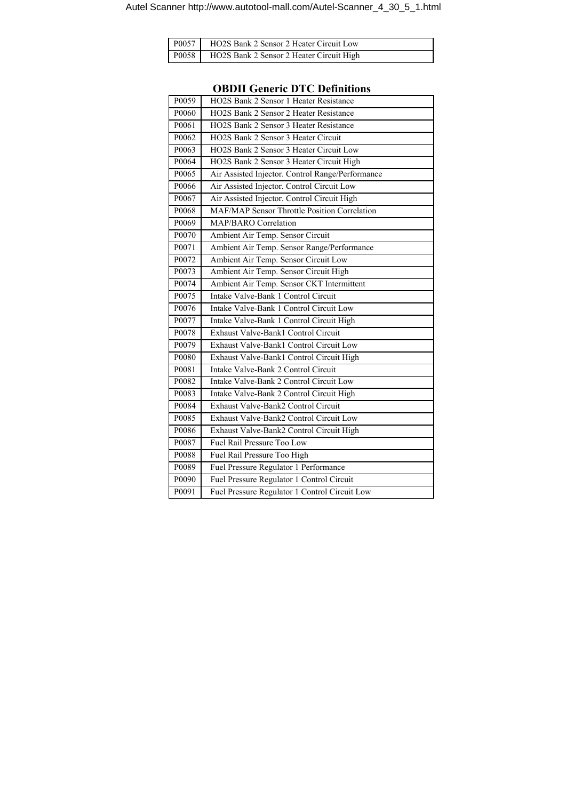| P0057 HO2S Bank 2 Sensor 2 Heater Circuit Low    |
|--------------------------------------------------|
| P0058   HO2S Bank 2 Sensor 2 Heater Circuit High |

| P0059             | HO2S Bank 2 Sensor 1 Heater Resistance              |
|-------------------|-----------------------------------------------------|
| P0060             | HO2S Bank 2 Sensor 2 Heater Resistance              |
| P0061             | HO2S Bank 2 Sensor 3 Heater Resistance              |
| P0062             | HO2S Bank 2 Sensor 3 Heater Circuit                 |
| P0063             | HO2S Bank 2 Sensor 3 Heater Circuit Low             |
| P0064             | HO2S Bank 2 Sensor 3 Heater Circuit High            |
| P0065             | Air Assisted Injector. Control Range/Performance    |
| P0066             | Air Assisted Injector. Control Circuit Low          |
| P0067             | Air Assisted Injector. Control Circuit High         |
| P0068             | <b>MAF/MAP Sensor Throttle Position Correlation</b> |
| P0069             | <b>MAP/BARO</b> Correlation                         |
| P0070             | Ambient Air Temp. Sensor Circuit                    |
| P0071             | Ambient Air Temp. Sensor Range/Performance          |
| P <sub>0072</sub> | Ambient Air Temp. Sensor Circuit Low                |
| P0073             | Ambient Air Temp. Sensor Circuit High               |
| P0074             | Ambient Air Temp. Sensor CKT Intermittent           |
| P0075             | Intake Valve-Bank 1 Control Circuit                 |
| P0076             | Intake Valve-Bank 1 Control Circuit Low             |
| P0077             | Intake Valve-Bank 1 Control Circuit High            |
| P0078             | Exhaust Valve-Bank1 Control Circuit                 |
| P0079             | Exhaust Valve-Bank1 Control Circuit Low             |
| P0080             | Exhaust Valve-Bank1 Control Circuit High            |
| P0081             | Intake Valve-Bank 2 Control Circuit                 |
| P0082             | Intake Valve-Bank 2 Control Circuit Low             |
| P0083             | Intake Valve-Bank 2 Control Circuit High            |
| P0084             | Exhaust Valve-Bank2 Control Circuit                 |
| P0085             | Exhaust Valve-Bank2 Control Circuit Low             |
| P0086             | Exhaust Valve-Bank2 Control Circuit High            |
| P0087             | Fuel Rail Pressure Too Low                          |
| P0088             | Fuel Rail Pressure Too High                         |
| P0089             | Fuel Pressure Regulator 1 Performance               |
| P0090             | Fuel Pressure Regulator 1 Control Circuit           |
| P0091             | Fuel Pressure Regulator 1 Control Circuit Low       |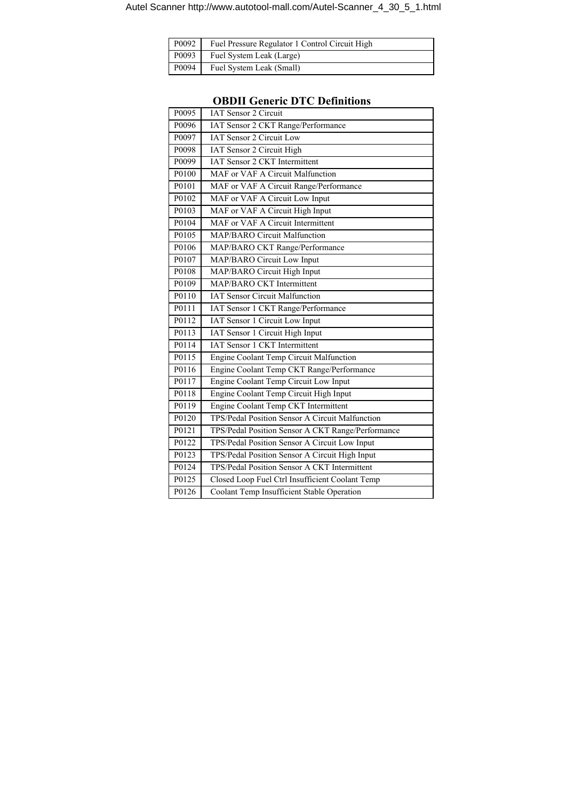|  | P0092 Fuel Pressure Regulator 1 Control Circuit High |
|--|------------------------------------------------------|
|  | P0093 Fuel System Leak (Large)                       |
|  | P0094 Fuel System Leak (Small)                       |

| P0095 | <b>IAT Sensor 2 Circuit</b>                       |
|-------|---------------------------------------------------|
| P0096 | IAT Sensor 2 CKT Range/Performance                |
| P0097 | <b>IAT Sensor 2 Circuit Low</b>                   |
| P0098 | <b>IAT Sensor 2 Circuit High</b>                  |
| P0099 | <b>IAT Sensor 2 CKT Intermittent</b>              |
| P0100 | MAF or VAF A Circuit Malfunction                  |
| P0101 | MAF or VAF A Circuit Range/Performance            |
| P0102 | MAF or VAF A Circuit Low Input                    |
| P0103 | MAF or VAF A Circuit High Input                   |
| P0104 | MAF or VAF A Circuit Intermittent                 |
| P0105 | <b>MAP/BARO Circuit Malfunction</b>               |
| P0106 | MAP/BARO CKT Range/Performance                    |
| P0107 | MAP/BARO Circuit Low Input                        |
| P0108 | MAP/BARO Circuit High Input                       |
| P0109 | MAP/BARO CKT Intermittent                         |
| P0110 | <b>IAT Sensor Circuit Malfunction</b>             |
| P0111 | IAT Sensor 1 CKT Range/Performance                |
| P0112 | IAT Sensor 1 Circuit Low Input                    |
| P0113 | IAT Sensor 1 Circuit High Input                   |
| P0114 | <b>IAT Sensor 1 CKT Intermittent</b>              |
| P0115 | Engine Coolant Temp Circuit Malfunction           |
| P0116 | Engine Coolant Temp CKT Range/Performance         |
| P0117 | Engine Coolant Temp Circuit Low Input             |
| P0118 | Engine Coolant Temp Circuit High Input            |
| P0119 | Engine Coolant Temp CKT Intermittent              |
| P0120 | TPS/Pedal Position Sensor A Circuit Malfunction   |
| P0121 | TPS/Pedal Position Sensor A CKT Range/Performance |
| P0122 | TPS/Pedal Position Sensor A Circuit Low Input     |
| P0123 | TPS/Pedal Position Sensor A Circuit High Input    |
| P0124 | TPS/Pedal Position Sensor A CKT Intermittent      |
| P0125 | Closed Loop Fuel Ctrl Insufficient Coolant Temp   |
| P0126 | <b>Coolant Temp Insufficient Stable Operation</b> |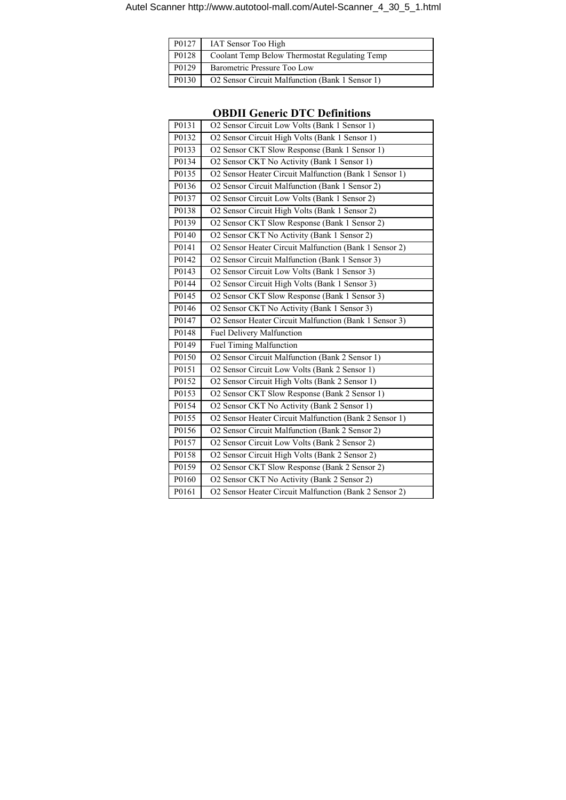| P0127 | IAT Sensor Too High                             |
|-------|-------------------------------------------------|
| P0128 | Coolant Temp Below Thermostat Regulating Temp   |
| P0129 | Barometric Pressure Too Low                     |
| P0130 | O2 Sensor Circuit Malfunction (Bank 1 Sensor 1) |

|       | льни осистіс в те всишноп                              |
|-------|--------------------------------------------------------|
| P0131 | O2 Sensor Circuit Low Volts (Bank 1 Sensor 1)          |
| P0132 | O2 Sensor Circuit High Volts (Bank 1 Sensor 1)         |
| P0133 | O2 Sensor CKT Slow Response (Bank 1 Sensor 1)          |
| P0134 | O2 Sensor CKT No Activity (Bank 1 Sensor 1)            |
| P0135 | O2 Sensor Heater Circuit Malfunction (Bank 1 Sensor 1) |
| P0136 | O2 Sensor Circuit Malfunction (Bank 1 Sensor 2)        |
| P0137 | O2 Sensor Circuit Low Volts (Bank 1 Sensor 2)          |
| P0138 | O2 Sensor Circuit High Volts (Bank 1 Sensor 2)         |
| P0139 | O2 Sensor CKT Slow Response (Bank 1 Sensor 2)          |
| P0140 | O2 Sensor CKT No Activity (Bank 1 Sensor 2)            |
| P0141 | O2 Sensor Heater Circuit Malfunction (Bank 1 Sensor 2) |
| P0142 | O2 Sensor Circuit Malfunction (Bank 1 Sensor 3)        |
| P0143 | O2 Sensor Circuit Low Volts (Bank 1 Sensor 3)          |
| P0144 | O2 Sensor Circuit High Volts (Bank 1 Sensor 3)         |
| P0145 | O2 Sensor CKT Slow Response (Bank 1 Sensor 3)          |
| P0146 | O2 Sensor CKT No Activity (Bank 1 Sensor 3)            |
| P0147 | O2 Sensor Heater Circuit Malfunction (Bank 1 Sensor 3) |
| P0148 | Fuel Delivery Malfunction                              |
| P0149 | <b>Fuel Timing Malfunction</b>                         |
| P0150 | O2 Sensor Circuit Malfunction (Bank 2 Sensor 1)        |
| P0151 | O2 Sensor Circuit Low Volts (Bank 2 Sensor 1)          |
| P0152 | O2 Sensor Circuit High Volts (Bank 2 Sensor 1)         |
| P0153 | O2 Sensor CKT Slow Response (Bank 2 Sensor 1)          |
| P0154 | O2 Sensor CKT No Activity (Bank 2 Sensor 1)            |
| P0155 | O2 Sensor Heater Circuit Malfunction (Bank 2 Sensor 1) |
| P0156 | O2 Sensor Circuit Malfunction (Bank 2 Sensor 2)        |
| P0157 | O2 Sensor Circuit Low Volts (Bank 2 Sensor 2)          |
| P0158 | O2 Sensor Circuit High Volts (Bank 2 Sensor 2)         |
| P0159 | O2 Sensor CKT Slow Response (Bank 2 Sensor 2)          |
| P0160 | O2 Sensor CKT No Activity (Bank 2 Sensor 2)            |
| P0161 | O2 Sensor Heater Circuit Malfunction (Bank 2 Sensor 2) |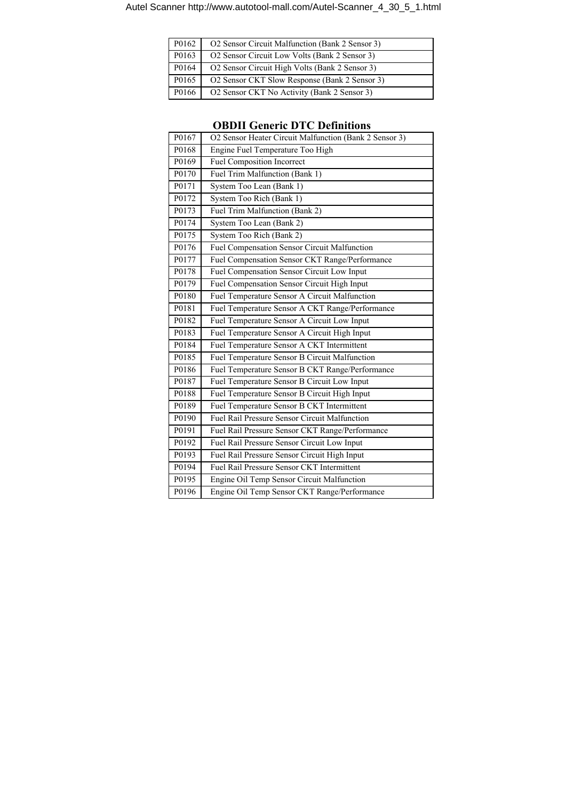| P0162 | O2 Sensor Circuit Malfunction (Bank 2 Sensor 3) |
|-------|-------------------------------------------------|
| P0163 | O2 Sensor Circuit Low Volts (Bank 2 Sensor 3)   |
| P0164 | O2 Sensor Circuit High Volts (Bank 2 Sensor 3)  |
| P0165 | O2 Sensor CKT Slow Response (Bank 2 Sensor 3)   |
| P0166 | O2 Sensor CKT No Activity (Bank 2 Sensor 3)     |

|       | ODDII GENETIC DTU DENNIUONS                            |
|-------|--------------------------------------------------------|
| P0167 | O2 Sensor Heater Circuit Malfunction (Bank 2 Sensor 3) |
| P0168 | Engine Fuel Temperature Too High                       |
| P0169 | <b>Fuel Composition Incorrect</b>                      |
| P0170 | Fuel Trim Malfunction (Bank 1)                         |
| P0171 | System Too Lean (Bank 1)                               |
| P0172 | System Too Rich (Bank 1)                               |
| P0173 | Fuel Trim Malfunction (Bank 2)                         |
| P0174 | System Too Lean (Bank 2)                               |
| P0175 | System Too Rich (Bank 2)                               |
| P0176 | Fuel Compensation Sensor Circuit Malfunction           |
| P0177 | Fuel Compensation Sensor CKT Range/Performance         |
| P0178 | Fuel Compensation Sensor Circuit Low Input             |
| P0179 | Fuel Compensation Sensor Circuit High Input            |
| P0180 | Fuel Temperature Sensor A Circuit Malfunction          |
| P0181 | Fuel Temperature Sensor A CKT Range/Performance        |
| P0182 | Fuel Temperature Sensor A Circuit Low Input            |
| P0183 | Fuel Temperature Sensor A Circuit High Input           |
| P0184 | Fuel Temperature Sensor A CKT Intermittent             |
| P0185 | Fuel Temperature Sensor B Circuit Malfunction          |
| P0186 | Fuel Temperature Sensor B CKT Range/Performance        |
| P0187 | Fuel Temperature Sensor B Circuit Low Input            |
| P0188 | Fuel Temperature Sensor B Circuit High Input           |
| P0189 | Fuel Temperature Sensor B CKT Intermittent             |
| P0190 | <b>Fuel Rail Pressure Sensor Circuit Malfunction</b>   |
| P0191 | Fuel Rail Pressure Sensor CKT Range/Performance        |
| P0192 | Fuel Rail Pressure Sensor Circuit Low Input            |
| P0193 | Fuel Rail Pressure Sensor Circuit High Input           |
| P0194 | Fuel Rail Pressure Sensor CKT Intermittent             |
| P0195 | Engine Oil Temp Sensor Circuit Malfunction             |
| P0196 | Engine Oil Temp Sensor CKT Range/Performance           |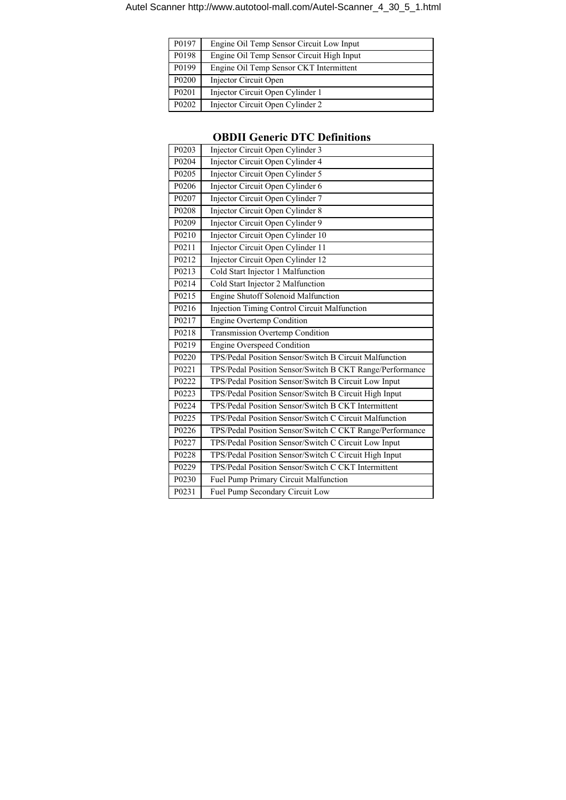| P0197             | Engine Oil Temp Sensor Circuit Low Input  |
|-------------------|-------------------------------------------|
| P0198             | Engine Oil Temp Sensor Circuit High Input |
| P0199             | Engine Oil Temp Sensor CKT Intermittent   |
| P0200             | Injector Circuit Open                     |
| P0201             | Injector Circuit Open Cylinder 1          |
| P <sub>0202</sub> | Injector Circuit Open Cylinder 2          |

| P <sub>0203</sub> | Injector Circuit Open Cylinder 3                         |
|-------------------|----------------------------------------------------------|
| P0204             | Injector Circuit Open Cylinder 4                         |
| P <sub>0205</sub> | Injector Circuit Open Cylinder 5                         |
| P0206             | Injector Circuit Open Cylinder 6                         |
| P0207             | Injector Circuit Open Cylinder 7                         |
| P0208             | Injector Circuit Open Cylinder 8                         |
| P0209             | Injector Circuit Open Cylinder 9                         |
| P0210             | Injector Circuit Open Cylinder 10                        |
| P0211             | Injector Circuit Open Cylinder 11                        |
| P0212             | Injector Circuit Open Cylinder 12                        |
| P0213             | Cold Start Injector 1 Malfunction                        |
| P0214             | Cold Start Injector 2 Malfunction                        |
| P0215             | <b>Engine Shutoff Solenoid Malfunction</b>               |
| P0216             | <b>Injection Timing Control Circuit Malfunction</b>      |
| P0217             | <b>Engine Overtemp Condition</b>                         |
| P0218             | <b>Transmission Overtemp Condition</b>                   |
| P <sub>0219</sub> | <b>Engine Overspeed Condition</b>                        |
| P0220             | TPS/Pedal Position Sensor/Switch B Circuit Malfunction   |
| P <sub>0221</sub> | TPS/Pedal Position Sensor/Switch B CKT Range/Performance |
| P0222             | TPS/Pedal Position Sensor/Switch B Circuit Low Input     |
| P0223             | TPS/Pedal Position Sensor/Switch B Circuit High Input    |
| P0224             | TPS/Pedal Position Sensor/Switch B CKT Intermittent      |
| P0225             | TPS/Pedal Position Sensor/Switch C Circuit Malfunction   |
| P0226             | TPS/Pedal Position Sensor/Switch C CKT Range/Performance |
| P0227             | TPS/Pedal Position Sensor/Switch C Circuit Low Input     |
| P0228             | TPS/Pedal Position Sensor/Switch C Circuit High Input    |
| P0229             | TPS/Pedal Position Sensor/Switch C CKT Intermittent      |
| P0230             | Fuel Pump Primary Circuit Malfunction                    |
| P0231             | Fuel Pump Secondary Circuit Low                          |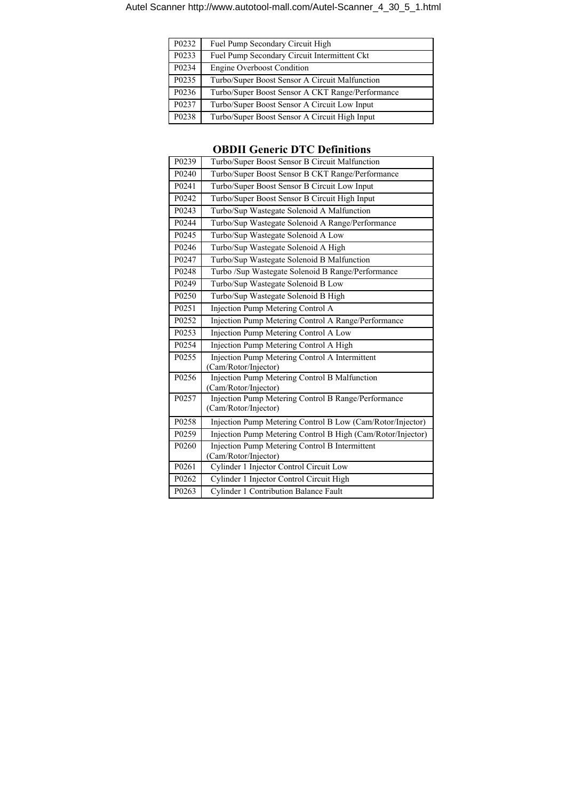| P <sub>0232</sub>  | Fuel Pump Secondary Circuit High                 |
|--------------------|--------------------------------------------------|
| P <sub>0233</sub>  | Fuel Pump Secondary Circuit Intermittent Ckt     |
| P <sub>02</sub> 34 | <b>Engine Overboost Condition</b>                |
| P <sub>0235</sub>  | Turbo/Super Boost Sensor A Circuit Malfunction   |
| P0236              | Turbo/Super Boost Sensor A CKT Range/Performance |
| P0237              | Turbo/Super Boost Sensor A Circuit Low Input     |
| P0238              | Turbo/Super Boost Sensor A Circuit High Input    |

| P0239             | Turbo/Super Boost Sensor B Circuit Malfunction                               |
|-------------------|------------------------------------------------------------------------------|
| P <sub>0240</sub> | Turbo/Super Boost Sensor B CKT Range/Performance                             |
| P0241             | Turbo/Super Boost Sensor B Circuit Low Input                                 |
| P0242             | Turbo/Super Boost Sensor B Circuit High Input                                |
| P <sub>0243</sub> | Turbo/Sup Wastegate Solenoid A Malfunction                                   |
| P0244             | Turbo/Sup Wastegate Solenoid A Range/Performance                             |
| P <sub>0245</sub> | Turbo/Sup Wastegate Solenoid A Low                                           |
| P0246             | Turbo/Sup Wastegate Solenoid A High                                          |
| P0247             | Turbo/Sup Wastegate Solenoid B Malfunction                                   |
| P0248             | Turbo /Sup Wastegate Solenoid B Range/Performance                            |
| P0249             | Turbo/Sup Wastegate Solenoid B Low                                           |
| P0250             | Turbo/Sup Wastegate Solenoid B High                                          |
| P <sub>0251</sub> | Injection Pump Metering Control A                                            |
| P0252             | Injection Pump Metering Control A Range/Performance                          |
| P0253             | Injection Pump Metering Control A Low                                        |
| P <sub>0254</sub> | Injection Pump Metering Control A High                                       |
| P0255             | Injection Pump Metering Control A Intermittent<br>(Cam/Rotor/Injector)       |
| P0256             | <b>Injection Pump Metering Control B Malfunction</b><br>(Cam/Rotor/Injector) |
| P0257             | Injection Pump Metering Control B Range/Performance<br>(Cam/Rotor/Injector)  |
| P0258             | Injection Pump Metering Control B Low (Cam/Rotor/Injector)                   |
| P0259             | Injection Pump Metering Control B High (Cam/Rotor/Injector)                  |
| P0260             | Injection Pump Metering Control B Intermittent<br>(Cam/Rotor/Injector)       |
| P0261             | Cylinder 1 Injector Control Circuit Low                                      |
| P0262             | Cylinder 1 Injector Control Circuit High                                     |
| P0263             | <b>Cylinder 1 Contribution Balance Fault</b>                                 |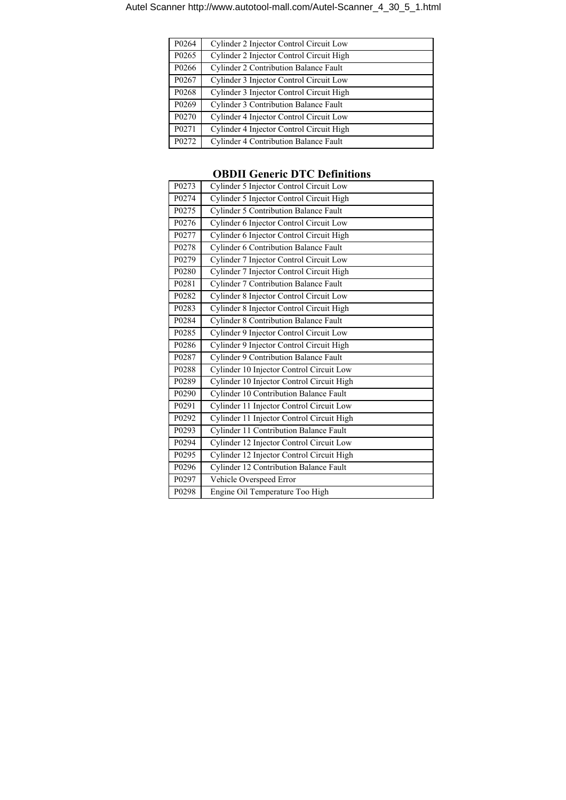| P0264             | Cylinder 2 Injector Control Circuit Low      |
|-------------------|----------------------------------------------|
| P <sub>0265</sub> | Cylinder 2 Injector Control Circuit High     |
| P0266             | Cylinder 2 Contribution Balance Fault        |
| P0267             | Cylinder 3 Injector Control Circuit Low      |
| P <sub>0268</sub> | Cylinder 3 Injector Control Circuit High     |
| P0269             | <b>Cylinder 3 Contribution Balance Fault</b> |
| P <sub>0270</sub> | Cylinder 4 Injector Control Circuit Low      |
| P <sub>0271</sub> | Cylinder 4 Injector Control Circuit High     |
| P <sub>0272</sub> | <b>Cylinder 4 Contribution Balance Fault</b> |

| P <sub>0273</sub> | Cylinder 5 Injector Control Circuit Low       |
|-------------------|-----------------------------------------------|
| P0274             | Cylinder 5 Injector Control Circuit High      |
| P0275             | <b>Cylinder 5 Contribution Balance Fault</b>  |
| P0276             | Cylinder 6 Injector Control Circuit Low       |
| P0277             | Cylinder 6 Injector Control Circuit High      |
| P0278             | <b>Cylinder 6 Contribution Balance Fault</b>  |
| P0279             | Cylinder 7 Injector Control Circuit Low       |
| P0280             | Cylinder 7 Injector Control Circuit High      |
| P0281             | <b>Cylinder 7 Contribution Balance Fault</b>  |
| P0282             | Cylinder 8 Injector Control Circuit Low       |
| P0283             | Cylinder 8 Injector Control Circuit High      |
| P0284             | <b>Cylinder 8 Contribution Balance Fault</b>  |
| P0285             | Cylinder 9 Injector Control Circuit Low       |
| P0286             | Cylinder 9 Injector Control Circuit High      |
| P0287             | <b>Cylinder 9 Contribution Balance Fault</b>  |
| P0288             | Cylinder 10 Injector Control Circuit Low      |
| P0289             | Cylinder 10 Injector Control Circuit High     |
| P0290             | Cylinder 10 Contribution Balance Fault        |
| P <sub>0291</sub> | Cylinder 11 Injector Control Circuit Low      |
| P0292             | Cylinder 11 Injector Control Circuit High     |
| P0293             | <b>Cylinder 11 Contribution Balance Fault</b> |
| P0294             | Cylinder 12 Injector Control Circuit Low      |
| P0295             | Cylinder 12 Injector Control Circuit High     |
| P0296             | <b>Cylinder 12 Contribution Balance Fault</b> |
| P0297             | Vehicle Overspeed Error                       |
| P0298             | Engine Oil Temperature Too High               |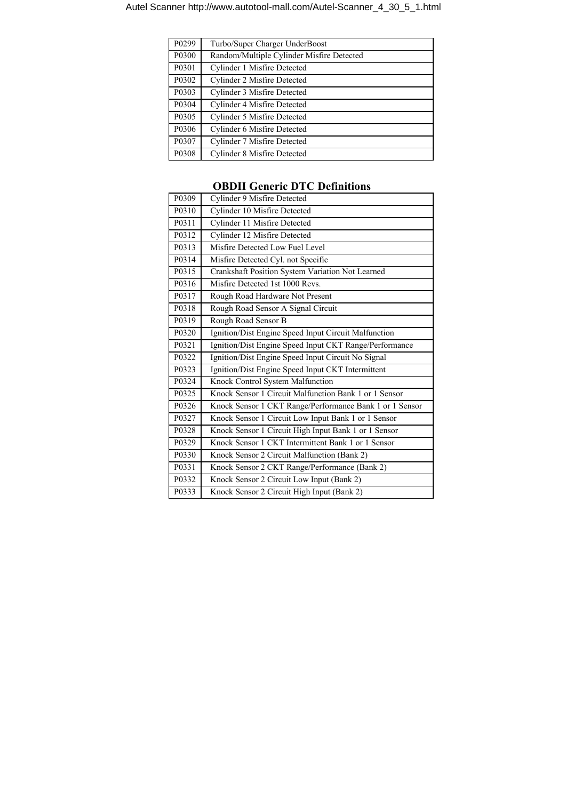| P <sub>0299</sub>  | Turbo/Super Charger UnderBoost            |
|--------------------|-------------------------------------------|
| P0300              | Random/Multiple Cylinder Misfire Detected |
| P <sub>0</sub> 301 | Cylinder 1 Misfire Detected               |
| P0302              | Cylinder 2 Misfire Detected               |
| P0303              | Cylinder 3 Misfire Detected               |
| P0304              | Cylinder 4 Misfire Detected               |
| P0305              | Cylinder 5 Misfire Detected               |
| P0306              | Cylinder 6 Misfire Detected               |
| P0307              | Cylinder 7 Misfire Detected               |
| P0308              | Cylinder 8 Misfire Detected               |

| P0309             | Cylinder 9 Misfire Detected                             |
|-------------------|---------------------------------------------------------|
| P0310             | Cylinder 10 Misfire Detected                            |
| P0311             | Cylinder 11 Misfire Detected                            |
| P0312             | Cylinder 12 Misfire Detected                            |
| P0313             | Misfire Detected Low Fuel Level                         |
| P0314             | Misfire Detected Cyl. not Specific                      |
| P0315             | Crankshaft Position System Variation Not Learned        |
| P0316             | Misfire Detected 1st 1000 Revs.                         |
| P <sub>0317</sub> | Rough Road Hardware Not Present                         |
| P0318             | Rough Road Sensor A Signal Circuit                      |
| P0319             | Rough Road Sensor B                                     |
| P0320             | Ignition/Dist Engine Speed Input Circuit Malfunction    |
| P0321             | Ignition/Dist Engine Speed Input CKT Range/Performance  |
| P0322             | Ignition/Dist Engine Speed Input Circuit No Signal      |
| P0323             | Ignition/Dist Engine Speed Input CKT Intermittent       |
| P0324             | Knock Control System Malfunction                        |
| P0325             | Knock Sensor 1 Circuit Malfunction Bank 1 or 1 Sensor   |
| P0326             | Knock Sensor 1 CKT Range/Performance Bank 1 or 1 Sensor |
| P0327             | Knock Sensor 1 Circuit Low Input Bank 1 or 1 Sensor     |
| P0328             | Knock Sensor 1 Circuit High Input Bank 1 or 1 Sensor    |
| P0329             | Knock Sensor 1 CKT Intermittent Bank 1 or 1 Sensor      |
| P0330             | Knock Sensor 2 Circuit Malfunction (Bank 2)             |
| P0331             | Knock Sensor 2 CKT Range/Performance (Bank 2)           |
| P0332             | Knock Sensor 2 Circuit Low Input (Bank 2)               |
| P0333             | Knock Sensor 2 Circuit High Input (Bank 2)              |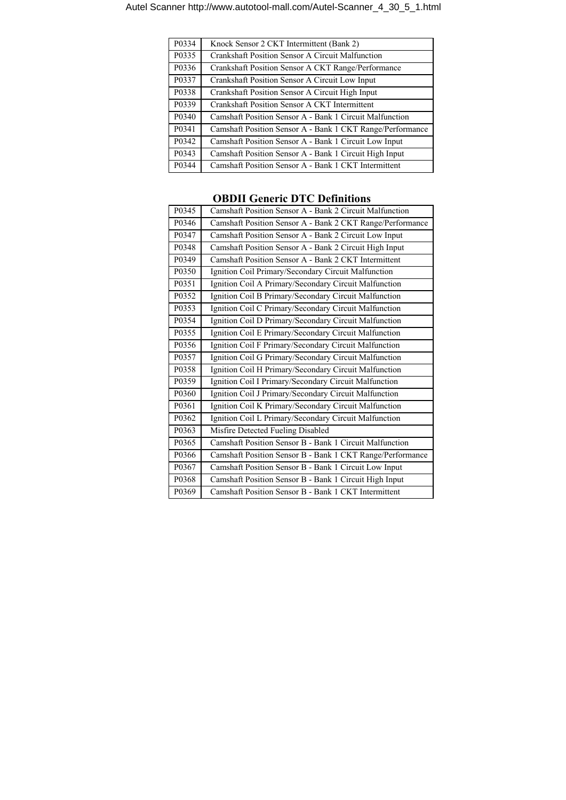| P0334 | Knock Sensor 2 CKT Intermittent (Bank 2)                  |
|-------|-----------------------------------------------------------|
| P0335 | Crankshaft Position Sensor A Circuit Malfunction          |
| P0336 | Crankshaft Position Sensor A CKT Range/Performance        |
| P0337 | Crankshaft Position Sensor A Circuit Low Input            |
| P0338 | Crankshaft Position Sensor A Circuit High Input           |
| P0339 | Crankshaft Position Sensor A CKT Intermittent             |
| P0340 | Camshaft Position Sensor A - Bank 1 Circuit Malfunction   |
| P0341 | Camshaft Position Sensor A - Bank 1 CKT Range/Performance |
| P0342 | Camshaft Position Sensor A - Bank 1 Circuit Low Input     |
| P0343 | Camshaft Position Sensor A - Bank 1 Circuit High Input    |
| P0344 | Camshaft Position Sensor A - Bank 1 CKT Intermittent      |

| P0345              | Camshaft Position Sensor A - Bank 2 Circuit Malfunction   |
|--------------------|-----------------------------------------------------------|
| P0346              | Camshaft Position Sensor A - Bank 2 CKT Range/Performance |
| P0347              | Camshaft Position Sensor A - Bank 2 Circuit Low Input     |
| P0348              | Camshaft Position Sensor A - Bank 2 Circuit High Input    |
| P0349              | Camshaft Position Sensor A - Bank 2 CKT Intermittent      |
| P0350              | Ignition Coil Primary/Secondary Circuit Malfunction       |
| P0351              | Ignition Coil A Primary/Secondary Circuit Malfunction     |
| P0352              | Ignition Coil B Primary/Secondary Circuit Malfunction     |
| P0353              | Ignition Coil C Primary/Secondary Circuit Malfunction     |
| P0354              | Ignition Coil D Primary/Secondary Circuit Malfunction     |
| P0355              | Ignition Coil E Primary/Secondary Circuit Malfunction     |
| P0356              | Ignition Coil F Primary/Secondary Circuit Malfunction     |
| P0357              | Ignition Coil G Primary/Secondary Circuit Malfunction     |
| P0358              | Ignition Coil H Primary/Secondary Circuit Malfunction     |
| P0359              | Ignition Coil I Primary/Secondary Circuit Malfunction     |
| P0360              | Ignition Coil J Primary/Secondary Circuit Malfunction     |
| P0361              | Ignition Coil K Primary/Secondary Circuit Malfunction     |
| P0362              | Ignition Coil L Primary/Secondary Circuit Malfunction     |
| P <sub>0</sub> 363 | Misfire Detected Fueling Disabled                         |
| P0365              | Camshaft Position Sensor B - Bank 1 Circuit Malfunction   |
| P0366              | Camshaft Position Sensor B - Bank 1 CKT Range/Performance |
| P0367              | Camshaft Position Sensor B - Bank 1 Circuit Low Input     |
| P0368              | Camshaft Position Sensor B - Bank 1 Circuit High Input    |
| P0369              | Camshaft Position Sensor B - Bank 1 CKT Intermittent      |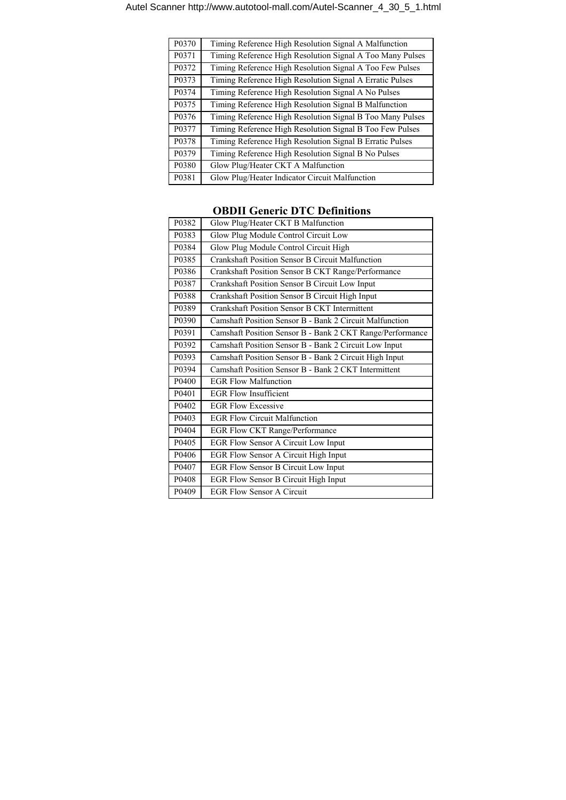| P0370 | Timing Reference High Resolution Signal A Malfunction     |
|-------|-----------------------------------------------------------|
| P0371 | Timing Reference High Resolution Signal A Too Many Pulses |
| P0372 | Timing Reference High Resolution Signal A Too Few Pulses  |
| P0373 | Timing Reference High Resolution Signal A Erratic Pulses  |
| P0374 | Timing Reference High Resolution Signal A No Pulses       |
| P0375 | Timing Reference High Resolution Signal B Malfunction     |
| P0376 | Timing Reference High Resolution Signal B Too Many Pulses |
| P0377 | Timing Reference High Resolution Signal B Too Few Pulses  |
| P0378 | Timing Reference High Resolution Signal B Erratic Pulses  |
| P0379 | Timing Reference High Resolution Signal B No Pulses       |
| P0380 | Glow Plug/Heater CKT A Malfunction                        |
| P0381 | Glow Plug/Heater Indicator Circuit Malfunction            |

| P0382                          | Glow Plug/Heater CKT B Malfunction                        |
|--------------------------------|-----------------------------------------------------------|
| P0383                          | Glow Plug Module Control Circuit Low                      |
| P0384                          | Glow Plug Module Control Circuit High                     |
| P0385                          | Crankshaft Position Sensor B Circuit Malfunction          |
| P0386                          | Crankshaft Position Sensor B CKT Range/Performance        |
| P0387                          | Crankshaft Position Sensor B Circuit Low Input            |
| P0388                          | Crankshaft Position Sensor B Circuit High Input           |
| P0389                          | Crankshaft Position Sensor B CKT Intermittent             |
| P <sub>0</sub> 39 <sub>0</sub> | Camshaft Position Sensor B - Bank 2 Circuit Malfunction   |
| P0391                          | Camshaft Position Sensor B - Bank 2 CKT Range/Performance |
| P0392                          | Camshaft Position Sensor B - Bank 2 Circuit Low Input     |
| P0393                          | Camshaft Position Sensor B - Bank 2 Circuit High Input    |
| P0394                          | Camshaft Position Sensor B - Bank 2 CKT Intermittent      |
| P0400                          | <b>EGR Flow Malfunction</b>                               |
| P0401                          | <b>EGR Flow Insufficient</b>                              |
| P0402                          | <b>EGR Flow Excessive</b>                                 |
| P0403                          | <b>EGR Flow Circuit Malfunction</b>                       |
| P0404                          | EGR Flow CKT Range/Performance                            |
| P0405                          | EGR Flow Sensor A Circuit Low Input                       |
| P0406                          | EGR Flow Sensor A Circuit High Input                      |
| P0407                          | EGR Flow Sensor B Circuit Low Input                       |
| P0408                          | EGR Flow Sensor B Circuit High Input                      |
| P0409                          | <b>EGR Flow Sensor A Circuit</b>                          |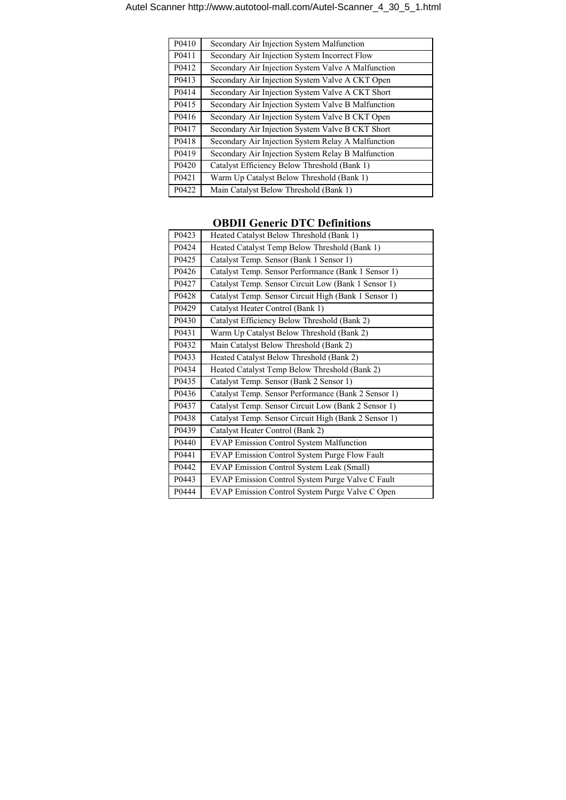| P0410 | Secondary Air Injection System Malfunction         |
|-------|----------------------------------------------------|
| P0411 | Secondary Air Injection System Incorrect Flow      |
| P0412 | Secondary Air Injection System Valve A Malfunction |
| P0413 | Secondary Air Injection System Valve A CKT Open    |
| P0414 | Secondary Air Injection System Valve A CKT Short   |
| P0415 | Secondary Air Injection System Valve B Malfunction |
| P0416 | Secondary Air Injection System Valve B CKT Open    |
| P0417 | Secondary Air Injection System Valve B CKT Short   |
| P0418 | Secondary Air Injection System Relay A Malfunction |
| P0419 | Secondary Air Injection System Relay B Malfunction |
| P0420 | Catalyst Efficiency Below Threshold (Bank 1)       |
| P0421 | Warm Up Catalyst Below Threshold (Bank 1)          |
| P0422 | Main Catalyst Below Threshold (Bank 1)             |

| P0423 | Heated Catalyst Below Threshold (Bank 1)             |
|-------|------------------------------------------------------|
| P0424 | Heated Catalyst Temp Below Threshold (Bank 1)        |
| P0425 | Catalyst Temp. Sensor (Bank 1 Sensor 1)              |
| P0426 | Catalyst Temp. Sensor Performance (Bank 1 Sensor 1)  |
| P0427 | Catalyst Temp. Sensor Circuit Low (Bank 1 Sensor 1)  |
| P0428 | Catalyst Temp. Sensor Circuit High (Bank 1 Sensor 1) |
| P0429 | Catalyst Heater Control (Bank 1)                     |
| P0430 | Catalyst Efficiency Below Threshold (Bank 2)         |
| P0431 | Warm Up Catalyst Below Threshold (Bank 2)            |
| P0432 | Main Catalyst Below Threshold (Bank 2)               |
| P0433 | Heated Catalyst Below Threshold (Bank 2)             |
| P0434 | Heated Catalyst Temp Below Threshold (Bank 2)        |
| P0435 | Catalyst Temp. Sensor (Bank 2 Sensor 1)              |
| P0436 | Catalyst Temp. Sensor Performance (Bank 2 Sensor 1)  |
| P0437 | Catalyst Temp. Sensor Circuit Low (Bank 2 Sensor 1)  |
| P0438 | Catalyst Temp. Sensor Circuit High (Bank 2 Sensor 1) |
| P0439 | Catalyst Heater Control (Bank 2)                     |
| P0440 | <b>EVAP Emission Control System Malfunction</b>      |
| P0441 | <b>EVAP Emission Control System Purge Flow Fault</b> |
| P0442 | EVAP Emission Control System Leak (Small)            |
| P0443 | EVAP Emission Control System Purge Valve C Fault     |
| P0444 | EVAP Emission Control System Purge Valve C Open      |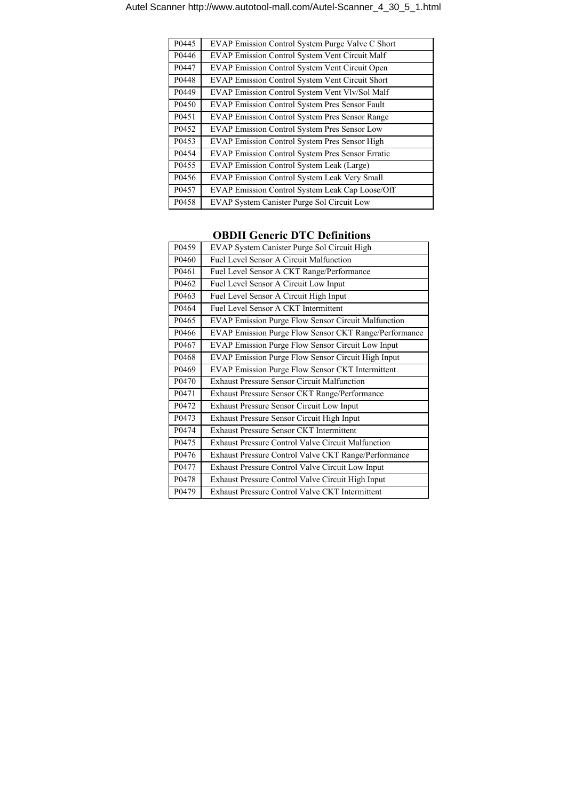| P0445 | EVAP Emission Control System Purge Valve C Short      |
|-------|-------------------------------------------------------|
| P0446 | <b>EVAP Emission Control System Vent Circuit Malf</b> |
| P0447 | EVAP Emission Control System Vent Circuit Open        |
| P0448 | EVAP Emission Control System Vent Circuit Short       |
| P0449 | EVAP Emission Control System Vent Vlv/Sol Malf        |
| P0450 | EVAP Emission Control System Pres Sensor Fault        |
| P0451 | EVAP Emission Control System Pres Sensor Range        |
| P0452 | EVAP Emission Control System Pres Sensor Low          |
| P0453 | EVAP Emission Control System Pres Sensor High         |
| P0454 | EVAP Emission Control System Pres Sensor Erratic      |
| P0455 | EVAP Emission Control System Leak (Large)             |
| P0456 | EVAP Emission Control System Leak Very Small          |
| P0457 | EVAP Emission Control System Leak Cap Loose/Off       |
| P0458 | EVAP System Canister Purge Sol Circuit Low            |

| P0459 | EVAP System Canister Purge Sol Circuit High               |
|-------|-----------------------------------------------------------|
| P0460 | Fuel Level Sensor A Circuit Malfunction                   |
| P0461 | Fuel Level Sensor A CKT Range/Performance                 |
| P0462 | Fuel Level Sensor A Circuit Low Input                     |
| P0463 | Fuel Level Sensor A Circuit High Input                    |
| P0464 | Fuel Level Sensor A CKT Intermittent                      |
| P0465 | EVAP Emission Purge Flow Sensor Circuit Malfunction       |
| P0466 | EVAP Emission Purge Flow Sensor CKT Range/Performance     |
| P0467 | EVAP Emission Purge Flow Sensor Circuit Low Input         |
| P0468 | EVAP Emission Purge Flow Sensor Circuit High Input        |
| P0469 | EVAP Emission Purge Flow Sensor CKT Intermittent          |
| P0470 | <b>Exhaust Pressure Sensor Circuit Malfunction</b>        |
| P0471 | Exhaust Pressure Sensor CKT Range/Performance             |
| P0472 | Exhaust Pressure Sensor Circuit Low Input                 |
| P0473 | Exhaust Pressure Sensor Circuit High Input                |
| P0474 | <b>Exhaust Pressure Sensor CKT Intermittent</b>           |
| P0475 | <b>Exhaust Pressure Control Valve Circuit Malfunction</b> |
| P0476 | Exhaust Pressure Control Valve CKT Range/Performance      |
| P0477 | Exhaust Pressure Control Valve Circuit Low Input          |
| P0478 | Exhaust Pressure Control Valve Circuit High Input         |
| P0479 | Exhaust Pressure Control Valve CKT Intermittent           |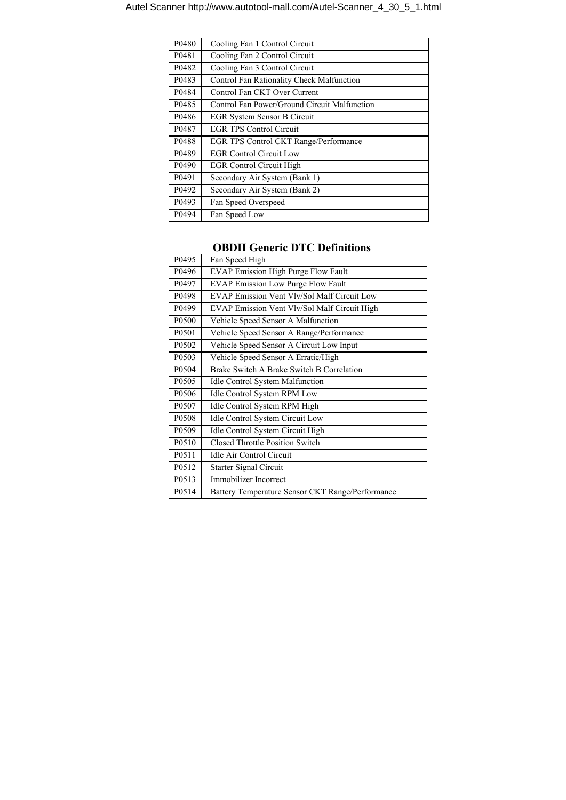| P0480             | Cooling Fan 1 Control Circuit                |
|-------------------|----------------------------------------------|
| P <sub>0481</sub> | Cooling Fan 2 Control Circuit                |
| P0482             | Cooling Fan 3 Control Circuit                |
| P0483             | Control Fan Rationality Check Malfunction    |
| P0484             | Control Fan CKT Over Current                 |
| P0485             | Control Fan Power/Ground Circuit Malfunction |
| P0486             | <b>EGR System Sensor B Circuit</b>           |
| P0487             | <b>EGR TPS Control Circuit</b>               |
| P0488             | EGR TPS Control CKT Range/Performance        |
| P0489             | <b>EGR Control Circuit Low</b>               |
| P0490             | <b>EGR Control Circuit High</b>              |
| P0491             | Secondary Air System (Bank 1)                |
| P0492             | Secondary Air System (Bank 2)                |
| P0493             | Fan Speed Overspeed                          |
| P0494             | Fan Speed Low                                |

| P0495             | Fan Speed High                                   |
|-------------------|--------------------------------------------------|
| P0496             | <b>EVAP Emission High Purge Flow Fault</b>       |
| P0497             | <b>EVAP</b> Emission Low Purge Flow Fault        |
| P0498             | EVAP Emission Vent Vlv/Sol Malf Circuit Low      |
| P <sub>0499</sub> | EVAP Emission Vent Vlv/Sol Malf Circuit High     |
| P0500             | Vehicle Speed Sensor A Malfunction               |
| P0501             | Vehicle Speed Sensor A Range/Performance         |
| P0502             | Vehicle Speed Sensor A Circuit Low Input         |
| P0503             | Vehicle Speed Sensor A Erratic/High              |
| P0504             | Brake Switch A Brake Switch B Correlation        |
| P <sub>0505</sub> | <b>Idle Control System Malfunction</b>           |
| P0506             | <b>Idle Control System RPM Low</b>               |
| P0507             | Idle Control System RPM High                     |
| P0508             | Idle Control System Circuit Low                  |
| P <sub>0509</sub> | Idle Control System Circuit High                 |
| P0510             | <b>Closed Throttle Position Switch</b>           |
| P0511             | Idle Air Control Circuit                         |
| P0512             | Starter Signal Circuit                           |
| P0513             | Immobilizer Incorrect                            |
| P0514             | Battery Temperature Sensor CKT Range/Performance |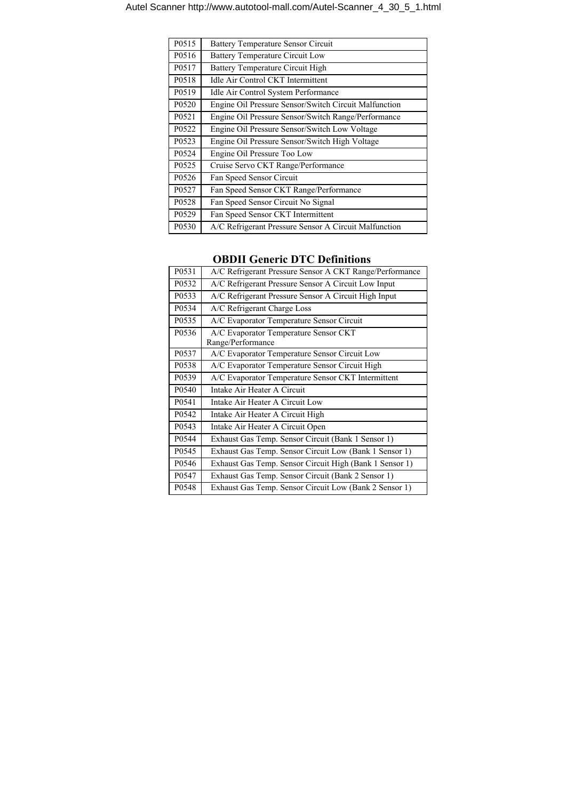| P0515             | <b>Battery Temperature Sensor Circuit</b>             |
|-------------------|-------------------------------------------------------|
| P0516             | <b>Battery Temperature Circuit Low</b>                |
| P0517             | Battery Temperature Circuit High                      |
| P0518             | <b>Idle Air Control CKT Intermittent</b>              |
| P0519             | Idle Air Control System Performance                   |
| P0520             | Engine Oil Pressure Sensor/Switch Circuit Malfunction |
| P0521             | Engine Oil Pressure Sensor/Switch Range/Performance   |
| P0522             | Engine Oil Pressure Sensor/Switch Low Voltage         |
| P0523             | Engine Oil Pressure Sensor/Switch High Voltage        |
| P0524             | Engine Oil Pressure Too Low                           |
| P0525             | Cruise Servo CKT Range/Performance                    |
| P0526             | Fan Speed Sensor Circuit                              |
| P0527             | Fan Speed Sensor CKT Range/Performance                |
| P0528             | Fan Speed Sensor Circuit No Signal                    |
| P <sub>0529</sub> | Fan Speed Sensor CKT Intermittent                     |
| P0530             | A/C Refrigerant Pressure Sensor A Circuit Malfunction |

| P0531 | A/C Refrigerant Pressure Sensor A CKT Range/Performance    |
|-------|------------------------------------------------------------|
| P0532 | A/C Refrigerant Pressure Sensor A Circuit Low Input        |
| P0533 | A/C Refrigerant Pressure Sensor A Circuit High Input       |
| P0534 | A/C Refrigerant Charge Loss                                |
| P0535 | A/C Evaporator Temperature Sensor Circuit                  |
| P0536 | A/C Evaporator Temperature Sensor CKT<br>Range/Performance |
| P0537 | A/C Evaporator Temperature Sensor Circuit Low              |
| P0538 | A/C Evaporator Temperature Sensor Circuit High             |
| P0539 | A/C Evaporator Temperature Sensor CKT Intermittent         |
| P0540 | Intake Air Heater A Circuit                                |
| P0541 | Intake Air Heater A Circuit Low                            |
| P0542 | Intake Air Heater A Circuit High                           |
| P0543 | Intake Air Heater A Circuit Open                           |
| P0544 | Exhaust Gas Temp. Sensor Circuit (Bank 1 Sensor 1)         |
| P0545 | Exhaust Gas Temp. Sensor Circuit Low (Bank 1 Sensor 1)     |
| P0546 | Exhaust Gas Temp. Sensor Circuit High (Bank 1 Sensor 1)    |
| P0547 | Exhaust Gas Temp. Sensor Circuit (Bank 2 Sensor 1)         |
| P0548 | Exhaust Gas Temp. Sensor Circuit Low (Bank 2 Sensor 1)     |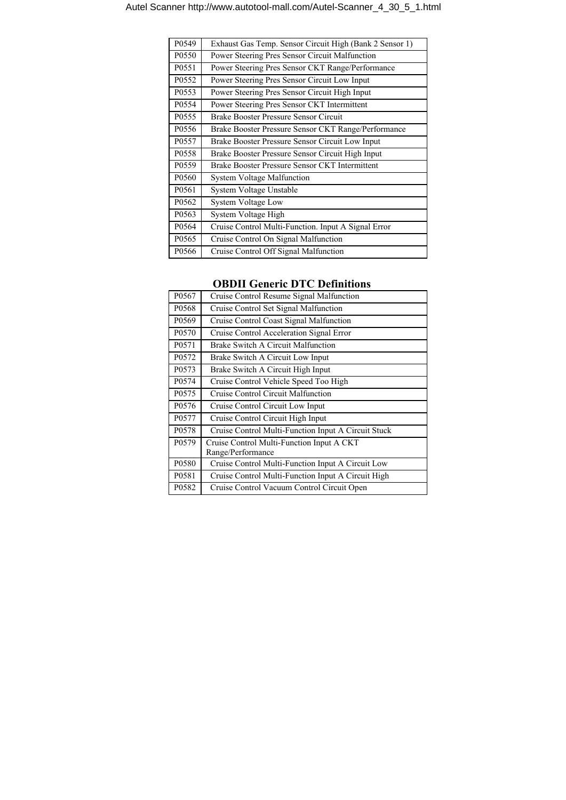| P0549 | Exhaust Gas Temp. Sensor Circuit High (Bank 2 Sensor 1) |
|-------|---------------------------------------------------------|
| P0550 | Power Steering Pres Sensor Circuit Malfunction          |
| P0551 | Power Steering Pres Sensor CKT Range/Performance        |
| P0552 | Power Steering Pres Sensor Circuit Low Input            |
| P0553 | Power Steering Pres Sensor Circuit High Input           |
| P0554 | Power Steering Pres Sensor CKT Intermittent             |
| P0555 | Brake Booster Pressure Sensor Circuit                   |
| P0556 | Brake Booster Pressure Sensor CKT Range/Performance     |
| P0557 | Brake Booster Pressure Sensor Circuit Low Input         |
| P0558 | Brake Booster Pressure Sensor Circuit High Input        |
| P0559 | Brake Booster Pressure Sensor CKT Intermittent          |
| P0560 | <b>System Voltage Malfunction</b>                       |
| P0561 | System Voltage Unstable                                 |
| P0562 | System Voltage Low                                      |
| P0563 | System Voltage High                                     |
| P0564 | Cruise Control Multi-Function. Input A Signal Error     |
| P0565 | Cruise Control On Signal Malfunction                    |
| P0566 | Cruise Control Off Signal Malfunction                   |

| P0567             | Cruise Control Resume Signal Malfunction            |
|-------------------|-----------------------------------------------------|
| P0568             | Cruise Control Set Signal Malfunction               |
| P0569             | Cruise Control Coast Signal Malfunction             |
| P0570             | Cruise Control Acceleration Signal Error            |
| P0571             | Brake Switch A Circuit Malfunction                  |
| P0572             | Brake Switch A Circuit Low Input                    |
| P0573             | Brake Switch A Circuit High Input                   |
| P0574             | Cruise Control Vehicle Speed Too High               |
| P0575             | Cruise Control Circuit Malfunction                  |
| P0576             | Cruise Control Circuit Low Input                    |
| P0577             | Cruise Control Circuit High Input                   |
| P0578             | Cruise Control Multi-Function Input A Circuit Stuck |
| P <sub>0579</sub> | Cruise Control Multi-Function Input A CKT           |
|                   | Range/Performance                                   |
| P0580             | Cruise Control Multi-Function Input A Circuit Low   |
| P0581             | Cruise Control Multi-Function Input A Circuit High  |
| P0582             | Cruise Control Vacuum Control Circuit Open          |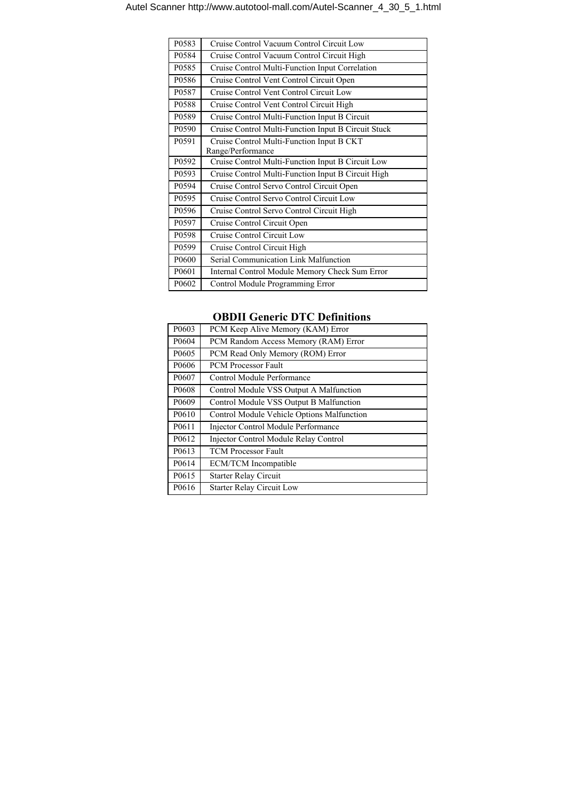| P0583             | Cruise Control Vacuum Control Circuit Low                      |
|-------------------|----------------------------------------------------------------|
| P <sub>0584</sub> | Cruise Control Vacuum Control Circuit High                     |
| P0585             | Cruise Control Multi-Function Input Correlation                |
| P0586             | Cruise Control Vent Control Circuit Open                       |
| P0587             | Cruise Control Vent Control Circuit Low                        |
| P0588             | Cruise Control Vent Control Circuit High                       |
| P0589             | Cruise Control Multi-Function Input B Circuit                  |
| P0590             | Cruise Control Multi-Function Input B Circuit Stuck            |
| P0591             | Cruise Control Multi-Function Input B CKT<br>Range/Performance |
| P0592             | Cruise Control Multi-Function Input B Circuit Low              |
| P0593             | Cruise Control Multi-Function Input B Circuit High             |
| P <sub>0594</sub> | Cruise Control Servo Control Circuit Open                      |
| P0595             | Cruise Control Servo Control Circuit Low                       |
| P0596             | Cruise Control Servo Control Circuit High                      |
| P0597             | Cruise Control Circuit Open                                    |
| P0598             | Cruise Control Circuit Low                                     |
| P <sub>0599</sub> | Cruise Control Circuit High                                    |
| P0600             | Serial Communication Link Malfunction                          |
| P0601             | Internal Control Module Memory Check Sum Error                 |
| P0602             | Control Module Programming Error                               |

| P0603             | PCM Keep Alive Memory (KAM) Error          |
|-------------------|--------------------------------------------|
| P0604             | PCM Random Access Memory (RAM) Error       |
| P0605             | PCM Read Only Memory (ROM) Error           |
| P0606             | <b>PCM Processor Fault</b>                 |
| P0607             | Control Module Performance                 |
| P0608             | Control Module VSS Output A Malfunction    |
| P <sub>0609</sub> | Control Module VSS Output B Malfunction    |
| P0610             | Control Module Vehicle Options Malfunction |
| P0611             | <b>Injector Control Module Performance</b> |
| P0612             | Injector Control Module Relay Control      |
| P <sub>0613</sub> | <b>TCM Processor Fault</b>                 |
| P0614             | <b>ECM/TCM</b> Incompatible                |
| P0615             | <b>Starter Relay Circuit</b>               |
| P0616             | <b>Starter Relay Circuit Low</b>           |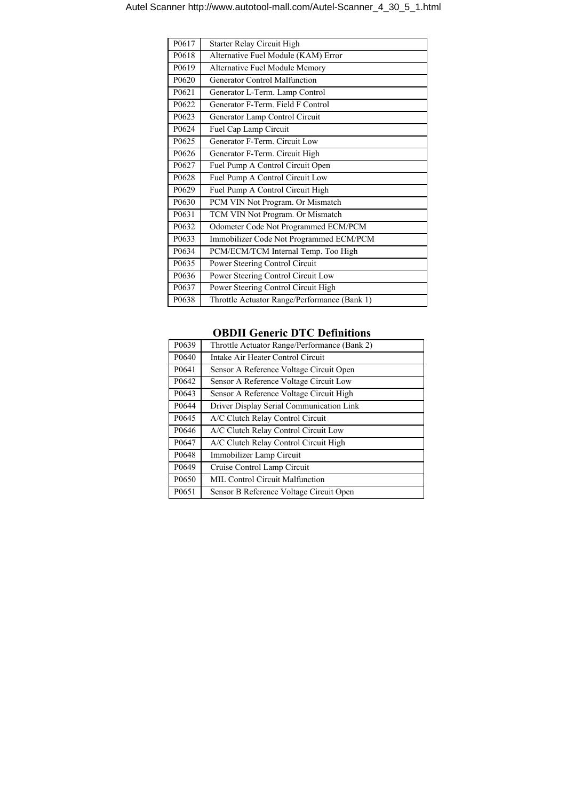| P0617 | Starter Relay Circuit High                   |
|-------|----------------------------------------------|
| P0618 | Alternative Fuel Module (KAM) Error          |
| P0619 | Alternative Fuel Module Memory               |
| P0620 | <b>Generator Control Malfunction</b>         |
| P0621 | Generator L-Term. Lamp Control               |
| P0622 | Generator F-Term. Field F Control            |
| P0623 | Generator Lamp Control Circuit               |
| P0624 | Fuel Cap Lamp Circuit                        |
| P0625 | Generator F-Term. Circuit Low                |
| P0626 | Generator F-Term. Circuit High               |
| P0627 | Fuel Pump A Control Circuit Open             |
| P0628 | Fuel Pump A Control Circuit Low              |
| P0629 | Fuel Pump A Control Circuit High             |
| P0630 | PCM VIN Not Program. Or Mismatch             |
| P0631 | TCM VIN Not Program. Or Mismatch             |
| P0632 | Odometer Code Not Programmed ECM/PCM         |
| P0633 | Immobilizer Code Not Programmed ECM/PCM      |
| P0634 | PCM/ECM/TCM Internal Temp. Too High          |
| P0635 | Power Steering Control Circuit               |
| P0636 | Power Steering Control Circuit Low           |
| P0637 | Power Steering Control Circuit High          |
| P0638 | Throttle Actuator Range/Performance (Bank 1) |

| P0639             | Throttle Actuator Range/Performance (Bank 2) |
|-------------------|----------------------------------------------|
| P0640             | Intake Air Heater Control Circuit            |
| P0641             | Sensor A Reference Voltage Circuit Open      |
| P0642             | Sensor A Reference Voltage Circuit Low       |
| P <sub>0643</sub> | Sensor A Reference Voltage Circuit High      |
| P0644             | Driver Display Serial Communication Link     |
| P0645             | A/C Clutch Relay Control Circuit             |
| P0646             | A/C Clutch Relay Control Circuit Low         |
| P0647             | A/C Clutch Relay Control Circuit High        |
| P0648             | Immobilizer Lamp Circuit                     |
| P <sub>0649</sub> | Cruise Control Lamp Circuit                  |
| P <sub>0650</sub> | <b>MIL Control Circuit Malfunction</b>       |
| P <sub>0651</sub> | Sensor B Reference Voltage Circuit Open      |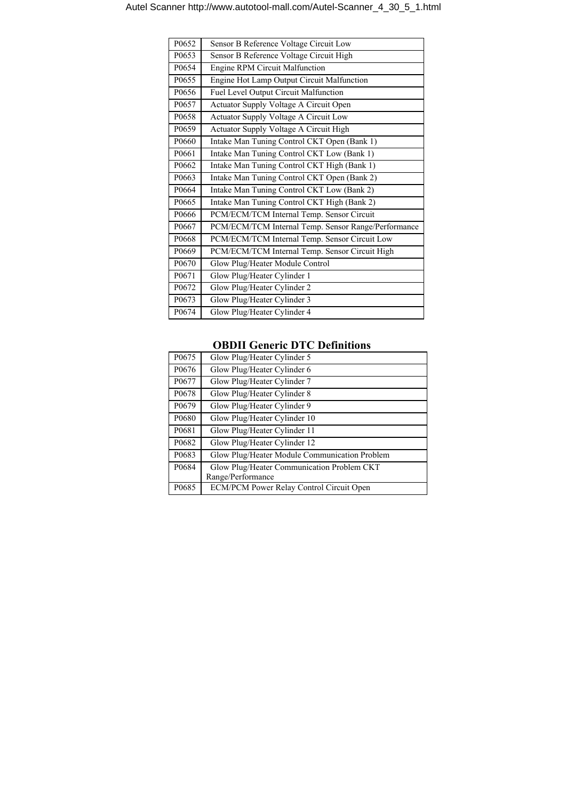| P0652 | Sensor B Reference Voltage Circuit Low              |
|-------|-----------------------------------------------------|
| P0653 | Sensor B Reference Voltage Circuit High             |
| P0654 | <b>Engine RPM Circuit Malfunction</b>               |
| P0655 | Engine Hot Lamp Output Circuit Malfunction          |
| P0656 | Fuel Level Output Circuit Malfunction               |
| P0657 | Actuator Supply Voltage A Circuit Open              |
| P0658 | Actuator Supply Voltage A Circuit Low               |
| P0659 | Actuator Supply Voltage A Circuit High              |
| P0660 | Intake Man Tuning Control CKT Open (Bank 1)         |
| P0661 | Intake Man Tuning Control CKT Low (Bank 1)          |
| P0662 | Intake Man Tuning Control CKT High (Bank 1)         |
| P0663 | Intake Man Tuning Control CKT Open (Bank 2)         |
| P0664 | Intake Man Tuning Control CKT Low (Bank 2)          |
| P0665 | Intake Man Tuning Control CKT High (Bank 2)         |
| P0666 | PCM/ECM/TCM Internal Temp. Sensor Circuit           |
| P0667 | PCM/ECM/TCM Internal Temp. Sensor Range/Performance |
| P0668 | PCM/ECM/TCM Internal Temp. Sensor Circuit Low       |
| P0669 | PCM/ECM/TCM Internal Temp. Sensor Circuit High      |
| P0670 | Glow Plug/Heater Module Control                     |
| P0671 | Glow Plug/Heater Cylinder 1                         |
| P0672 | Glow Plug/Heater Cylinder 2                         |
| P0673 | Glow Plug/Heater Cylinder 3                         |
| P0674 | Glow Plug/Heater Cylinder 4                         |

| P0675             | Glow Plug/Heater Cylinder 5                   |
|-------------------|-----------------------------------------------|
| P0676             | Glow Plug/Heater Cylinder 6                   |
| P0677             | Glow Plug/Heater Cylinder 7                   |
| P0678             | Glow Plug/Heater Cylinder 8                   |
| P <sub>0679</sub> | Glow Plug/Heater Cylinder 9                   |
| P0680             | Glow Plug/Heater Cylinder 10                  |
| P0681             | Glow Plug/Heater Cylinder 11                  |
| P <sub>0682</sub> | Glow Plug/Heater Cylinder 12                  |
| P0683             | Glow Plug/Heater Module Communication Problem |
| P0684             | Glow Plug/Heater Communication Problem CKT    |
|                   | Range/Performance                             |
| P0685             | ECM/PCM Power Relay Control Circuit Open      |